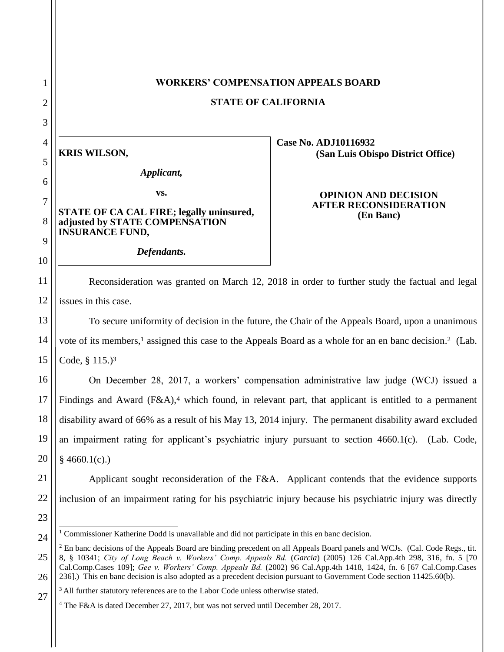# **WORKERS' COMPENSATION APPEALS BOARD**

**STATE OF CALIFORNIA**

**KRIS WILSON,**

1

2

3

4

5

6

7

8

9

10

11

12

13

14

15

23

24

27

*Applicant,*

**vs.**

**STATE OF CA CAL FIRE; legally uninsured, adjusted by STATE COMPENSATION INSURANCE FUND,**

*Defendants.*

**Case No. ADJ10116932 (San Luis Obispo District Office)**

#### **OPINION AND DECISION AFTER RECONSIDERATION (En Banc)**

Reconsideration was granted on March 12, 2018 in order to further study the factual and legal issues in this case.

To secure uniformity of decision in the future, the Chair of the Appeals Board, upon a unanimous vote of its members,<sup>1</sup> assigned this case to the Appeals Board as a whole for an en banc decision.<sup>2</sup> (Lab. Code, § 115.) 3

16 17 18 19 20 On December 28, 2017, a workers' compensation administrative law judge (WCJ) issued a Findings and Award (F&A),<sup>4</sup> which found, in relevant part, that applicant is entitled to a permanent disability award of 66% as a result of his May 13, 2014 injury. The permanent disability award excluded an impairment rating for applicant's psychiatric injury pursuant to section 4660.1(c). (Lab. Code,  $§$  4660.1(c).)

21 22 Applicant sought reconsideration of the F&A. Applicant contends that the evidence supports inclusion of an impairment rating for his psychiatric injury because his psychiatric injury was directly

 $\overline{a}$  $1$  Commissioner Katherine Dodd is unavailable and did not participate in this en banc decision.

<sup>25</sup> 26 <sup>2</sup> En banc decisions of the Appeals Board are binding precedent on all Appeals Board panels and WCJs. (Cal. Code Regs., tit. 8, § 10341; *City of Long Beach v. Workers' Comp. Appeals Bd.* (*Garcia*) (2005) 126 Cal.App.4th 298, 316, fn. 5 [70 Cal.Comp.Cases 109]; *Gee v. Workers' Comp. Appeals Bd.* (2002) 96 Cal.App.4th 1418, 1424, fn. 6 [67 Cal.Comp.Cases 236].) This en banc decision is also adopted as a precedent decision pursuant to Government Code section 11425.60(b).

<sup>&</sup>lt;sup>3</sup> All further statutory references are to the Labor Code unless otherwise stated.

<sup>4</sup> The F&A is dated December 27, 2017, but was not served until December 28, 2017.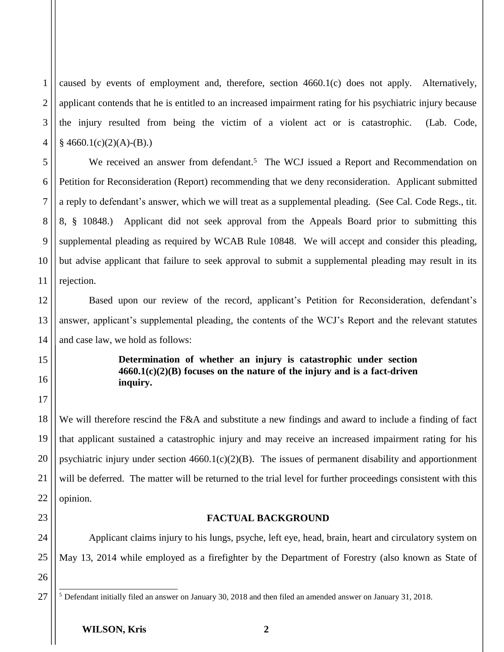1 2 3 4 caused by events of employment and, therefore, section 4660.1(c) does not apply. Alternatively, applicant contends that he is entitled to an increased impairment rating for his psychiatric injury because the injury resulted from being the victim of a violent act or is catastrophic. (Lab. Code,  $§$  4660.1(c)(2)(A)-(B).)

5 6 7 8 9 10 11 We received an answer from defendant.<sup>5</sup> The WCJ issued a Report and Recommendation on Petition for Reconsideration (Report) recommending that we deny reconsideration. Applicant submitted a reply to defendant's answer, which we will treat as a supplemental pleading. (See Cal. Code Regs., tit. 8, § 10848.) Applicant did not seek approval from the Appeals Board prior to submitting this supplemental pleading as required by WCAB Rule 10848. We will accept and consider this pleading, but advise applicant that failure to seek approval to submit a supplemental pleading may result in its rejection.

Based upon our review of the record, applicant's Petition for Reconsideration, defendant's answer, applicant's supplemental pleading, the contents of the WCJ's Report and the relevant statutes and case law, we hold as follows:

### **Determination of whether an injury is catastrophic under section 4660.1(c)(2)(B) focuses on the nature of the injury and is a fact-driven inquiry.**

We will therefore rescind the F&A and substitute a new findings and award to include a finding of fact that applicant sustained a catastrophic injury and may receive an increased impairment rating for his psychiatric injury under section 4660.1(c)(2)(B). The issues of permanent disability and apportionment will be deferred. The matter will be returned to the trial level for further proceedings consistent with this opinion.

#### **FACTUAL BACKGROUND**

Applicant claims injury to his lungs, psyche, left eye, head, brain, heart and circulatory system on May 13, 2014 while employed as a firefighter by the Department of Forestry (also known as State of

26 27

12

13

14

15

16

17

18

19

20

21

22

23

24

 $\overline{a}$  $5$  Defendant initially filed an answer on January 30, 2018 and then filed an amended answer on January 31, 2018.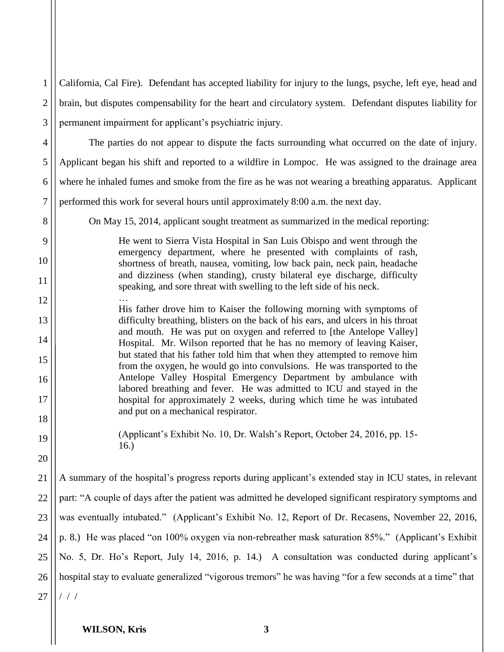| $\mathbf{1}$   | California, Cal Fire). Defendant has accepted liability for injury to the lungs, psyche, left eye, head and                                               |
|----------------|-----------------------------------------------------------------------------------------------------------------------------------------------------------|
| $\overline{2}$ | brain, but disputes compensability for the heart and circulatory system. Defendant disputes liability for                                                 |
| 3              | permanent impairment for applicant's psychiatric injury.                                                                                                  |
| 4              | The parties do not appear to dispute the facts surrounding what occurred on the date of injury.                                                           |
| 5              | Applicant began his shift and reported to a wildfire in Lompoc. He was assigned to the drainage area                                                      |
| 6              | where he inhaled fumes and smoke from the fire as he was not wearing a breathing apparatus. Applicant                                                     |
| 7              | performed this work for several hours until approximately 8:00 a.m. the next day.                                                                         |
| 8              | On May 15, 2014, applicant sought treatment as summarized in the medical reporting:                                                                       |
| 9              | He went to Sierra Vista Hospital in San Luis Obispo and went through the                                                                                  |
| 10             | emergency department, where he presented with complaints of rash,<br>shortness of breath, nausea, vomiting, low back pain, neck pain, headache            |
| 11             | and dizziness (when standing), crusty bilateral eye discharge, difficulty<br>speaking, and sore threat with swelling to the left side of his neck.        |
| 12             | His father drove him to Kaiser the following morning with symptoms of                                                                                     |
| 13             | difficulty breathing, blisters on the back of his ears, and ulcers in his throat<br>and mouth. He was put on oxygen and referred to [the Antelope Valley] |
| 14             | Hospital. Mr. Wilson reported that he has no memory of leaving Kaiser,                                                                                    |
| 15             | but stated that his father told him that when they attempted to remove him<br>from the oxygen, he would go into convulsions. He was transported to the    |
| 16             | Antelope Valley Hospital Emergency Department by ambulance with<br>labored breathing and fever. He was admitted to ICU and stayed in the                  |
| 17             | hospital for approximately 2 weeks, during which time he was intubated                                                                                    |
| 18             | and put on a mechanical respirator.                                                                                                                       |
| 19             | (Applicant's Exhibit No. 10, Dr. Walsh's Report, October 24, 2016, pp. 15-<br>16.                                                                         |
| 20             |                                                                                                                                                           |
| 21             | A summary of the hospital's progress reports during applicant's extended stay in ICU states, in relevant                                                  |
| 22             | part: "A couple of days after the patient was admitted he developed significant respiratory symptoms and                                                  |
| 23             | was eventually intubated." (Applicant's Exhibit No. 12, Report of Dr. Recasens, November 22, 2016,                                                        |
| 24             | p. 8.) He was placed "on 100% oxygen via non-rebreather mask saturation 85%." (Applicant's Exhibit                                                        |
| 25             | No. 5, Dr. Ho's Report, July 14, 2016, p. 14.) A consultation was conducted during applicant's                                                            |
| 26             | hospital stay to evaluate generalized "vigorous tremors" he was having "for a few seconds at a time" that                                                 |
| 27             | $/$ / $/$                                                                                                                                                 |
|                |                                                                                                                                                           |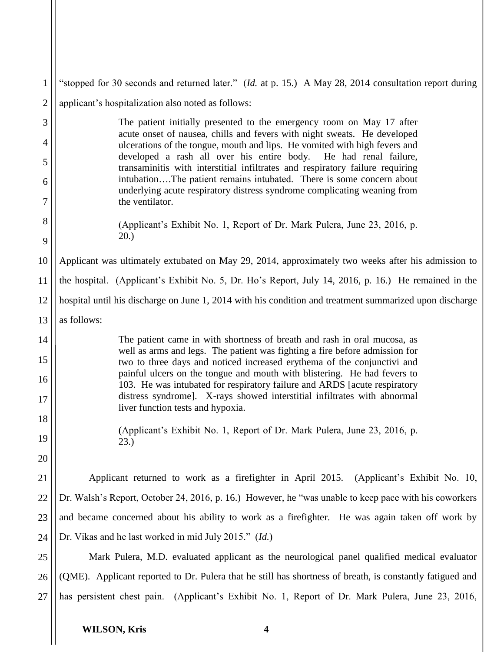| 1              | "stopped for 30 seconds and returned later." (Id. at p. 15.) A May 28, 2014 consultation report during                                                              |
|----------------|---------------------------------------------------------------------------------------------------------------------------------------------------------------------|
| $\overline{2}$ | applicant's hospitalization also noted as follows:                                                                                                                  |
| 3              | The patient initially presented to the emergency room on May 17 after<br>acute onset of nausea, chills and fevers with night sweats. He developed                   |
| $\overline{4}$ | ulcerations of the tongue, mouth and lips. He vomited with high fevers and                                                                                          |
| 5              | developed a rash all over his entire body. He had renal failure,<br>transaminitis with interstitial infiltrates and respiratory failure requiring                   |
| 6<br>7         | intubationThe patient remains intubated. There is some concern about<br>underlying acute respiratory distress syndrome complicating weaning from<br>the ventilator. |
| 8<br>9         | (Applicant's Exhibit No. 1, Report of Dr. Mark Pulera, June 23, 2016, p.<br>20.                                                                                     |
| 10             | Applicant was ultimately extubated on May 29, 2014, approximately two weeks after his admission to                                                                  |
| 11             | the hospital. (Applicant's Exhibit No. 5, Dr. Ho's Report, July 14, 2016, p. 16.) He remained in the                                                                |
| 12             | hospital until his discharge on June 1, 2014 with his condition and treatment summarized upon discharge                                                             |
| 13             | as follows:                                                                                                                                                         |
| 14             | The patient came in with shortness of breath and rash in oral mucosa, as<br>well as arms and legs. The patient was fighting a fire before admission for             |
| 15             | two to three days and noticed increased erythema of the conjunctivi and                                                                                             |
| 16             | painful ulcers on the tongue and mouth with blistering. He had fevers to<br>103. He was intubated for respiratory failure and ARDS [acute respiratory               |
| 17             | distress syndrome]. X-rays showed interstitial infiltrates with abnormal<br>liver function tests and hypoxia.                                                       |
| 18             | (Applicant's Exhibit No. 1, Report of Dr. Mark Pulera, June 23, 2016, p.                                                                                            |
| 19             | 23.)                                                                                                                                                                |
| 20             |                                                                                                                                                                     |
| 21             | Applicant returned to work as a firefighter in April 2015.<br>(Applicant's Exhibit No. 10,                                                                          |
| 22             | Dr. Walsh's Report, October 24, 2016, p. 16.) However, he "was unable to keep pace with his coworkers                                                               |
| 23             | and became concerned about his ability to work as a firefighter. He was again taken off work by                                                                     |
| 24             | Dr. Vikas and he last worked in mid July 2015." (Id.)                                                                                                               |
| 25             | Mark Pulera, M.D. evaluated applicant as the neurological panel qualified medical evaluator                                                                         |
| 26             | (QME). Applicant reported to Dr. Pulera that he still has shortness of breath, is constantly fatigued and                                                           |
| 27             | has persistent chest pain. (Applicant's Exhibit No. 1, Report of Dr. Mark Pulera, June 23, 2016,                                                                    |
|                |                                                                                                                                                                     |

 $\mathbf{I}$  $\mathsf{I}$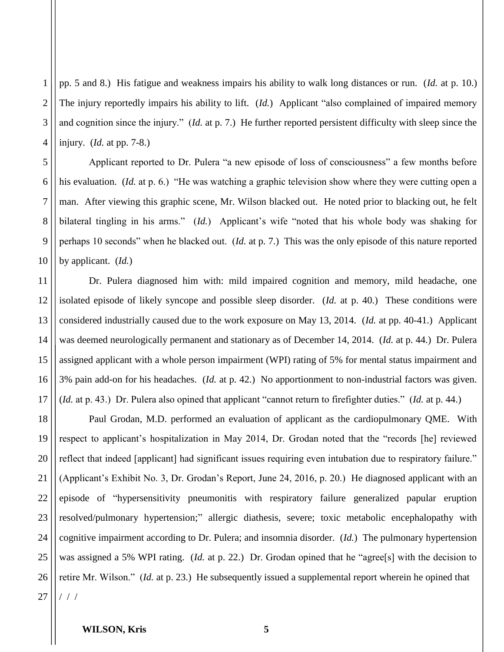2 3 4 pp. 5 and 8.) His fatigue and weakness impairs his ability to walk long distances or run. (*Id.* at p. 10.) The injury reportedly impairs his ability to lift. (*Id.*) Applicant "also complained of impaired memory and cognition since the injury." (*Id.* at p. 7.) He further reported persistent difficulty with sleep since the injury. (*Id.* at pp. 7-8.)

Applicant reported to Dr. Pulera "a new episode of loss of consciousness" a few months before his evaluation. (*Id.* at p. 6.) "He was watching a graphic television show where they were cutting open a man. After viewing this graphic scene, Mr. Wilson blacked out. He noted prior to blacking out, he felt bilateral tingling in his arms." (*Id.*) Applicant's wife "noted that his whole body was shaking for perhaps 10 seconds" when he blacked out. (*Id.* at p. 7.) This was the only episode of this nature reported by applicant. (*Id.*)

11 12 13 14 15 16 17 Dr. Pulera diagnosed him with: mild impaired cognition and memory, mild headache, one isolated episode of likely syncope and possible sleep disorder. (*Id.* at p. 40.) These conditions were considered industrially caused due to the work exposure on May 13, 2014. (*Id.* at pp. 40-41.) Applicant was deemed neurologically permanent and stationary as of December 14, 2014. (*Id.* at p. 44.) Dr. Pulera assigned applicant with a whole person impairment (WPI) rating of 5% for mental status impairment and 3% pain add-on for his headaches. (*Id.* at p. 42.) No apportionment to non-industrial factors was given. (*Id.* at p. 43.) Dr. Pulera also opined that applicant "cannot return to firefighter duties." (*Id.* at p. 44.)

18 19 20 21 22 23 24 25 26 27 Paul Grodan, M.D. performed an evaluation of applicant as the cardiopulmonary QME. With respect to applicant's hospitalization in May 2014, Dr. Grodan noted that the "records [he] reviewed reflect that indeed [applicant] had significant issues requiring even intubation due to respiratory failure." (Applicant's Exhibit No. 3, Dr. Grodan's Report, June 24, 2016, p. 20.) He diagnosed applicant with an episode of "hypersensitivity pneumonitis with respiratory failure generalized papular eruption resolved/pulmonary hypertension;" allergic diathesis, severe; toxic metabolic encephalopathy with cognitive impairment according to Dr. Pulera; and insomnia disorder. (*Id.*) The pulmonary hypertension was assigned a 5% WPI rating. (*Id.* at p. 22.) Dr. Grodan opined that he "agree[s] with the decision to retire Mr. Wilson." (*Id.* at p. 23.) He subsequently issued a supplemental report wherein he opined that / / /

#### **WILSON, Kris 5**

1

5

6

7

8

9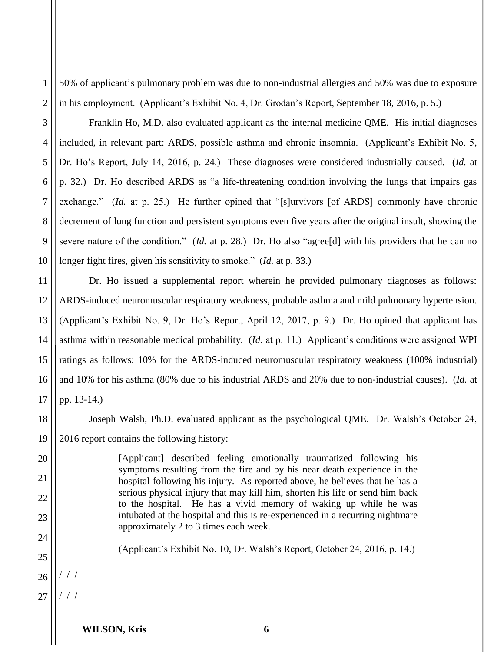1 2 50% of applicant's pulmonary problem was due to non-industrial allergies and 50% was due to exposure in his employment. (Applicant's Exhibit No. 4, Dr. Grodan's Report, September 18, 2016, p. 5.)

Franklin Ho, M.D. also evaluated applicant as the internal medicine QME. His initial diagnoses included, in relevant part: ARDS, possible asthma and chronic insomnia. (Applicant's Exhibit No. 5, Dr. Ho's Report, July 14, 2016, p. 24.) These diagnoses were considered industrially caused. (*Id.* at p. 32.) Dr. Ho described ARDS as "a life-threatening condition involving the lungs that impairs gas exchange." *(Id.* at p. 25.) He further opined that "[s]urvivors [of ARDS] commonly have chronic decrement of lung function and persistent symptoms even five years after the original insult, showing the severe nature of the condition." (*Id.* at p. 28.) Dr. Ho also "agree[d] with his providers that he can no longer fight fires, given his sensitivity to smoke." (*Id.* at p. 33.)

11 12 13 14 15 16 17 Dr. Ho issued a supplemental report wherein he provided pulmonary diagnoses as follows: ARDS-induced neuromuscular respiratory weakness, probable asthma and mild pulmonary hypertension. (Applicant's Exhibit No. 9, Dr. Ho's Report, April 12, 2017, p. 9.) Dr. Ho opined that applicant has asthma within reasonable medical probability. (*Id.* at p. 11.) Applicant's conditions were assigned WPI ratings as follows: 10% for the ARDS-induced neuromuscular respiratory weakness (100% industrial) and 10% for his asthma (80% due to his industrial ARDS and 20% due to non-industrial causes). (*Id.* at pp. 13-14.)

Joseph Walsh, Ph.D. evaluated applicant as the psychological QME. Dr. Walsh's October 24, 2016 report contains the following history:

> [Applicant] described feeling emotionally traumatized following his symptoms resulting from the fire and by his near death experience in the hospital following his injury. As reported above, he believes that he has a serious physical injury that may kill him, shorten his life or send him back to the hospital. He has a vivid memory of waking up while he was intubated at the hospital and this is re-experienced in a recurring nightmare approximately 2 to 3 times each week.

(Applicant's Exhibit No. 10, Dr. Walsh's Report, October 24, 2016, p. 14.)

26 / / /

3

4

5

6

7

8

9

10

18

19

20

21

22

23

24

25

27 / / /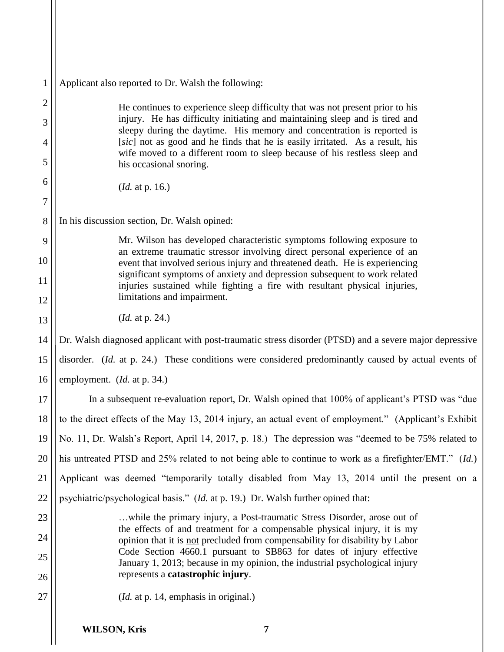| $\mathbf{1}$   | Applicant also reported to Dr. Walsh the following:                                                                                                                                     |
|----------------|-----------------------------------------------------------------------------------------------------------------------------------------------------------------------------------------|
| $\overline{c}$ | He continues to experience sleep difficulty that was not present prior to his                                                                                                           |
| 3              | injury. He has difficulty initiating and maintaining sleep and is tired and<br>sleepy during the daytime. His memory and concentration is reported is                                   |
| 4              | [sic] not as good and he finds that he is easily irritated. As a result, his<br>wife moved to a different room to sleep because of his restless sleep and                               |
| 5              | his occasional snoring.                                                                                                                                                                 |
| 6              | ( <i>Id.</i> at p. 16.)                                                                                                                                                                 |
| 7              |                                                                                                                                                                                         |
| 8              | In his discussion section, Dr. Walsh opined:                                                                                                                                            |
| 9              | Mr. Wilson has developed characteristic symptoms following exposure to<br>an extreme traumatic stressor involving direct personal experience of an                                      |
| 10             | event that involved serious injury and threatened death. He is experiencing<br>significant symptoms of anxiety and depression subsequent to work related                                |
| 11             | injuries sustained while fighting a fire with resultant physical injuries,<br>limitations and impairment.                                                                               |
| 12             |                                                                                                                                                                                         |
| 13             | ( <i>Id.</i> at p. 24.)                                                                                                                                                                 |
| 14             | Dr. Walsh diagnosed applicant with post-traumatic stress disorder (PTSD) and a severe major depressive                                                                                  |
| 15             | disorder. (Id. at p. 24.) These conditions were considered predominantly caused by actual events of                                                                                     |
| 16             | employment. ( <i>Id.</i> at p. 34.)                                                                                                                                                     |
| 17             | In a subsequent re-evaluation report, Dr. Walsh opined that 100% of applicant's PTSD was "due                                                                                           |
| 18             | to the direct effects of the May 13, 2014 injury, an actual event of employment." (Applicant's Exhibit                                                                                  |
| 19             | No. 11, Dr. Walsh's Report, April 14, 2017, p. 18.) The depression was "deemed to be 75% related to                                                                                     |
| 20             | his untreated PTSD and 25% related to not being able to continue to work as a firefighter/EMT." (Id.)                                                                                   |
| 21             | Applicant was deemed "temporarily totally disabled from May 13, 2014 until the present on a                                                                                             |
| 22             | psychiatric/psychological basis." (Id. at p. 19.) Dr. Walsh further opined that:                                                                                                        |
| 23             | while the primary injury, a Post-traumatic Stress Disorder, arose out of<br>the effects of and treatment for a compensable physical injury, it is my                                    |
| 24             | opinion that it is not precluded from compensability for disability by Labor                                                                                                            |
| 25<br>26       | Code Section 4660.1 pursuant to SB863 for dates of injury effective<br>January 1, 2013; because in my opinion, the industrial psychological injury<br>represents a catastrophic injury. |
| 27             | ( <i>Id.</i> at p. 14, emphasis in original.)                                                                                                                                           |
|                | <b>WILSON, Kris</b><br>7                                                                                                                                                                |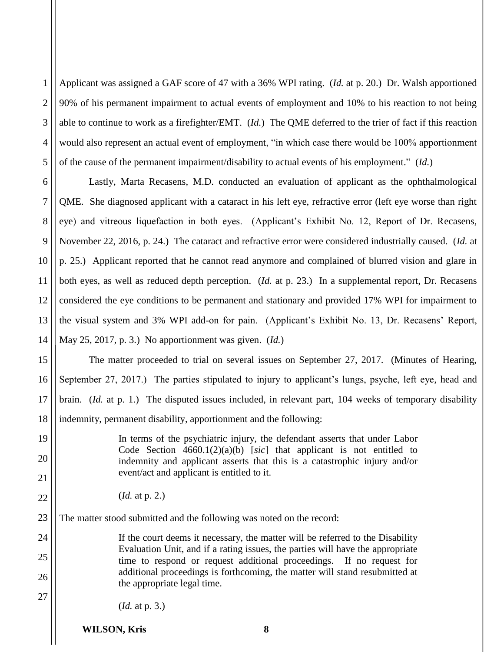1 2 3 4 5 Applicant was assigned a GAF score of 47 with a 36% WPI rating. (*Id.* at p. 20.) Dr. Walsh apportioned 90% of his permanent impairment to actual events of employment and 10% to his reaction to not being able to continue to work as a firefighter/EMT. (*Id.*) The QME deferred to the trier of fact if this reaction would also represent an actual event of employment, "in which case there would be 100% apportionment of the cause of the permanent impairment/disability to actual events of his employment." (*Id.*)

6 7 8 9 10 11 12 13 14 Lastly, Marta Recasens, M.D. conducted an evaluation of applicant as the ophthalmological QME. She diagnosed applicant with a cataract in his left eye, refractive error (left eye worse than right eye) and vitreous liquefaction in both eyes. (Applicant's Exhibit No. 12, Report of Dr. Recasens, November 22, 2016, p. 24.) The cataract and refractive error were considered industrially caused. (*Id.* at p. 25.) Applicant reported that he cannot read anymore and complained of blurred vision and glare in both eyes, as well as reduced depth perception. (*Id.* at p. 23.) In a supplemental report, Dr. Recasens considered the eye conditions to be permanent and stationary and provided 17% WPI for impairment to the visual system and 3% WPI add-on for pain. (Applicant's Exhibit No. 13, Dr. Recasens' Report, May 25, 2017, p. 3.) No apportionment was given. (*Id.*)

15 16 17 18 The matter proceeded to trial on several issues on September 27, 2017. (Minutes of Hearing, September 27, 2017.) The parties stipulated to injury to applicant's lungs, psyche, left eye, head and brain. (*Id.* at p. 1.) The disputed issues included, in relevant part, 104 weeks of temporary disability indemnity, permanent disability, apportionment and the following:

> In terms of the psychiatric injury, the defendant asserts that under Labor Code Section 4660.1(2)(a)(b) [*sic*] that applicant is not entitled to indemnity and applicant asserts that this is a catastrophic injury and/or event/act and applicant is entitled to it.

(*Id.* at p. 2.)

19

20

21

22

24

25

26

27

23 The matter stood submitted and the following was noted on the record:

> If the court deems it necessary, the matter will be referred to the Disability Evaluation Unit, and if a rating issues, the parties will have the appropriate time to respond or request additional proceedings. If no request for additional proceedings is forthcoming, the matter will stand resubmitted at the appropriate legal time.

(*Id.* at p. 3.)

**WILSON, Kris 8**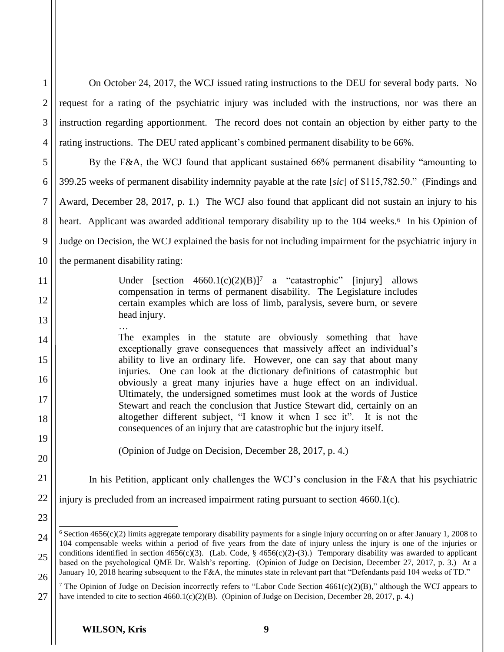| 1                | On October 24, 2017, the WCJ issued rating instructions to the DEU for several body parts. No                                                                                                                                                                 |
|------------------|---------------------------------------------------------------------------------------------------------------------------------------------------------------------------------------------------------------------------------------------------------------|
| $\overline{2}$   | request for a rating of the psychiatric injury was included with the instructions, nor was there an                                                                                                                                                           |
| 3                | instruction regarding apportionment. The record does not contain an objection by either party to the                                                                                                                                                          |
| $\overline{4}$   | rating instructions. The DEU rated applicant's combined permanent disability to be 66%.                                                                                                                                                                       |
| 5                | By the F&A, the WCJ found that applicant sustained 66% permanent disability "amounting to                                                                                                                                                                     |
| 6                | 399.25 weeks of permanent disability indemnity payable at the rate [sic] of \$115,782.50." (Findings and                                                                                                                                                      |
| $\boldsymbol{7}$ | Award, December 28, 2017, p. 1.) The WCJ also found that applicant did not sustain an injury to his                                                                                                                                                           |
| 8                | heart. Applicant was awarded additional temporary disability up to the 104 weeks. <sup>6</sup> In his Opinion of                                                                                                                                              |
| 9                | Judge on Decision, the WCJ explained the basis for not including impairment for the psychiatric injury in                                                                                                                                                     |
| 10               | the permanent disability rating:                                                                                                                                                                                                                              |
| 11               | Under [section $4660.1(c)(2)(B)$ ] <sup>7</sup> a "catastrophic" [injury]<br>allows                                                                                                                                                                           |
| 12               | compensation in terms of permanent disability. The Legislature includes<br>certain examples which are loss of limb, paralysis, severe burn, or severe                                                                                                         |
| 13               | head injury.                                                                                                                                                                                                                                                  |
| 14               | The examples in the statute are obviously something that have<br>exceptionally grave consequences that massively affect an individual's                                                                                                                       |
| 15               | ability to live an ordinary life. However, one can say that about many                                                                                                                                                                                        |
| 16               | injuries. One can look at the dictionary definitions of catastrophic but<br>obviously a great many injuries have a huge effect on an individual.                                                                                                              |
| 17               | Ultimately, the undersigned sometimes must look at the words of Justice<br>Stewart and reach the conclusion that Justice Stewart did, certainly on an                                                                                                         |
| 18               | altogether different subject, "I know it when I see it". It is not the<br>consequences of an injury that are catastrophic but the injury itself.                                                                                                              |
| 19               |                                                                                                                                                                                                                                                               |
| 20               | (Opinion of Judge on Decision, December 28, 2017, p. 4.)                                                                                                                                                                                                      |
| 21               | In his Petition, applicant only challenges the WCJ's conclusion in the F&A that his psychiatric                                                                                                                                                               |
| 22               | injury is precluded from an increased impairment rating pursuant to section 4660.1(c).                                                                                                                                                                        |
| 23               |                                                                                                                                                                                                                                                               |
| 24               | $6$ Section 4656(c)(2) limits aggregate temporary disability payments for a single injury occurring on or after January 1, 2008 to<br>104 compensable weeks within a period of five years from the date of injury unless the injury is one of the injuries or |
| 25               | conditions identified in section 4656(c)(3). (Lab. Code, § 4656(c)(2)-(3).) Temporary disability was awarded to applicant<br>based on the psychological QME Dr. Walsh's reporting. (Opinion of Judge on Decision, December 27, 2017, p. 3.) At a              |
| 26               | January 10, 2018 hearing subsequent to the F&A, the minutes state in relevant part that "Defendants paid 104 weeks of TD."                                                                                                                                    |

<sup>27</sup> <sup>7</sup> The Opinion of Judge on Decision incorrectly refers to "Labor Code Section  $4661(c)(2)(B)$ ," although the WCJ appears to have intended to cite to section 4660.1(c)(2)(B). (Opinion of Judge on Decision, December 28, 2017, p. 4.)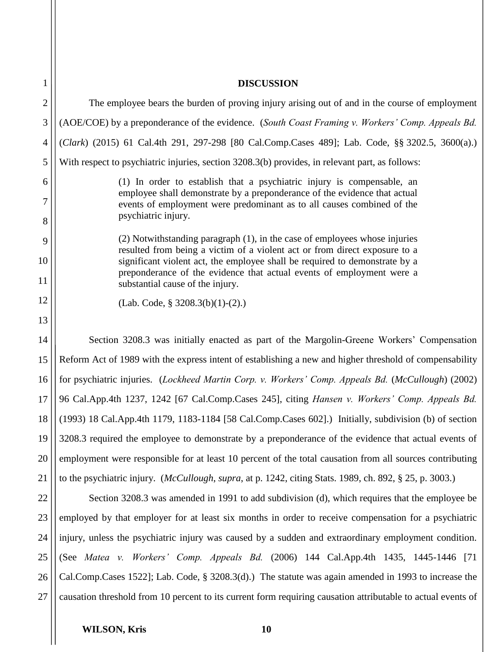| $\mathbf{1}$       | <b>DISCUSSION</b>                                                                                                                                                                                                                                                                                                                                    |
|--------------------|------------------------------------------------------------------------------------------------------------------------------------------------------------------------------------------------------------------------------------------------------------------------------------------------------------------------------------------------------|
| $\overline{2}$     | The employee bears the burden of proving injury arising out of and in the course of employment                                                                                                                                                                                                                                                       |
| 3                  | (AOE/COE) by a preponderance of the evidence. (South Coast Framing v. Workers' Comp. Appeals Bd.                                                                                                                                                                                                                                                     |
| 4                  | (Clark) (2015) 61 Cal.4th 291, 297-298 [80 Cal.Comp.Cases 489]; Lab. Code, §§ 3202.5, 3600(a).)                                                                                                                                                                                                                                                      |
| 5                  | With respect to psychiatric injuries, section 3208.3(b) provides, in relevant part, as follows:                                                                                                                                                                                                                                                      |
| 6<br>7             | (1) In order to establish that a psychiatric injury is compensable, an<br>employee shall demonstrate by a preponderance of the evidence that actual<br>events of employment were predominant as to all causes combined of the<br>psychiatric injury.                                                                                                 |
| 8<br>9<br>10<br>11 | (2) Notwithstanding paragraph (1), in the case of employees whose injuries<br>resulted from being a victim of a violent act or from direct exposure to a<br>significant violent act, the employee shall be required to demonstrate by a<br>preponderance of the evidence that actual events of employment were a<br>substantial cause of the injury. |
| 12                 | $(Lab. Code, § 3208.3(b)(1)-(2).)$                                                                                                                                                                                                                                                                                                                   |
| 13                 |                                                                                                                                                                                                                                                                                                                                                      |
| 14                 | Section 3208.3 was initially enacted as part of the Margolin-Greene Workers' Compensation                                                                                                                                                                                                                                                            |
| 15                 | Reform Act of 1989 with the express intent of establishing a new and higher threshold of compensability                                                                                                                                                                                                                                              |
| 16                 | for psychiatric injuries. (Lockheed Martin Corp. v. Workers' Comp. Appeals Bd. (McCullough) (2002)                                                                                                                                                                                                                                                   |
| 17                 | 96 Cal.App.4th 1237, 1242 [67 Cal.Comp.Cases 245], citing Hansen v. Workers' Comp. Appeals Bd.                                                                                                                                                                                                                                                       |
| 18                 | (1993) 18 Cal.App.4th 1179, 1183-1184 [58 Cal.Comp.Cases 602].) Initially, subdivision (b) of section                                                                                                                                                                                                                                                |
| 19                 | 3208.3 required the employee to demonstrate by a preponderance of the evidence that actual events of                                                                                                                                                                                                                                                 |
| 20                 | employment were responsible for at least 10 percent of the total causation from all sources contributing                                                                                                                                                                                                                                             |
| 21                 | to the psychiatric injury. <i>(McCullough, supra, at p. 1242, citing Stats. 1989, ch. 892, § 25, p. 3003.)</i>                                                                                                                                                                                                                                       |
| 22                 | Section 3208.3 was amended in 1991 to add subdivision (d), which requires that the employee be                                                                                                                                                                                                                                                       |
| 23                 | employed by that employer for at least six months in order to receive compensation for a psychiatric                                                                                                                                                                                                                                                 |
| 24                 | injury, unless the psychiatric injury was caused by a sudden and extraordinary employment condition.                                                                                                                                                                                                                                                 |
| 25                 | (See <i>Matea v. Workers' Comp. Appeals Bd.</i> (2006) 144 Cal.App.4th 1435, 1445-1446 [71]                                                                                                                                                                                                                                                          |
| 26                 | Cal.Comp.Cases 1522]; Lab. Code, § 3208.3(d).) The statute was again amended in 1993 to increase the                                                                                                                                                                                                                                                 |
| 27                 | causation threshold from 10 percent to its current form requiring causation attributable to actual events of                                                                                                                                                                                                                                         |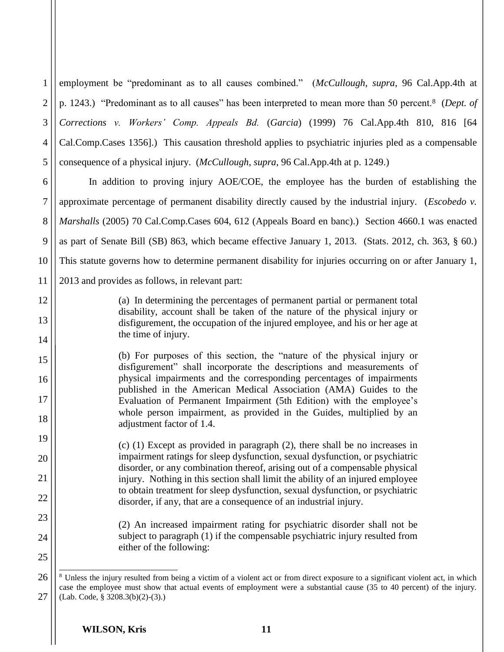1 2 3 4 5 employment be "predominant as to all causes combined." (*McCullough*, *supra*, 96 Cal.App.4th at p. 1243.) "Predominant as to all causes" has been interpreted to mean more than 50 percent.8 (*Dept. of Corrections v. Workers' Comp. Appeals Bd.* (*Garcia*) (1999) 76 Cal.App.4th 810, 816 [64 Cal.Comp.Cases 1356].) This causation threshold applies to psychiatric injuries pled as a compensable consequence of a physical injury. (*McCullough*, *supra*, 96 Cal.App.4th at p. 1249.)

6 7 8 9 10 11 In addition to proving injury AOE/COE, the employee has the burden of establishing the approximate percentage of permanent disability directly caused by the industrial injury. (*Escobedo v. Marshalls* (2005) 70 Cal.Comp.Cases 604, 612 (Appeals Board en banc).) Section 4660.1 was enacted as part of Senate Bill (SB) 863, which became effective January 1, 2013. (Stats. 2012, ch. 363, § 60.) This statute governs how to determine permanent disability for injuries occurring on or after January 1, 2013 and provides as follows, in relevant part:

> (a) In determining the percentages of permanent partial or permanent total disability, account shall be taken of the nature of the physical injury or disfigurement, the occupation of the injured employee, and his or her age at the time of injury.

(b) For purposes of this section, the "nature of the physical injury or disfigurement" shall incorporate the descriptions and measurements of physical impairments and the corresponding percentages of impairments published in the American Medical Association (AMA) Guides to the Evaluation of Permanent Impairment (5th Edition) with the employee's whole person impairment, as provided in the Guides, multiplied by an adjustment factor of 1.4.

(c) (1) Except as provided in paragraph (2), there shall be no increases in impairment ratings for sleep dysfunction, sexual dysfunction, or psychiatric disorder, or any combination thereof, arising out of a compensable physical injury. Nothing in this section shall limit the ability of an injured employee to obtain treatment for sleep dysfunction, sexual dysfunction, or psychiatric disorder, if any, that are a consequence of an industrial injury.

> (2) An increased impairment rating for psychiatric disorder shall not be subject to paragraph (1) if the compensable psychiatric injury resulted from either of the following:

12

13

14

15

16

17

18

19

20

21

22

23

24

<sup>26</sup> 27  $\overline{a}$ <sup>8</sup> Unless the injury resulted from being a victim of a violent act or from direct exposure to a significant violent act, in which case the employee must show that actual events of employment were a substantial cause (35 to 40 percent) of the injury. (Lab. Code, § 3208.3(b)(2)-(3).)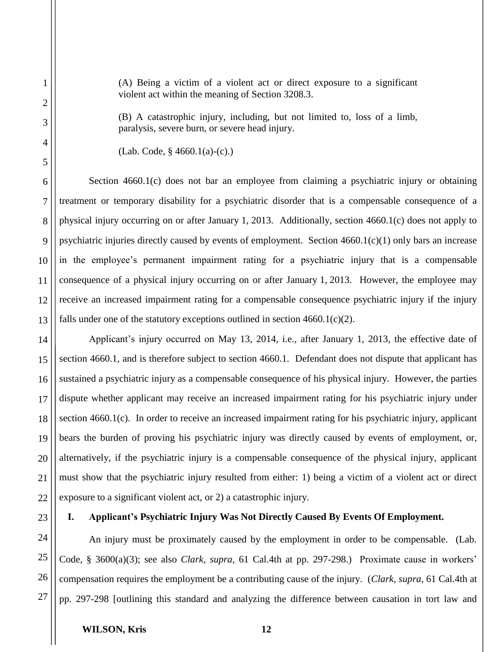(A) Being a victim of a violent act or direct exposure to a significant violent act within the meaning of Section 3208.3.

(B) A catastrophic injury, including, but not limited to, loss of a limb, paralysis, severe burn, or severe head injury.

Section 4660.1(c) does not bar an employee from claiming a psychiatric injury or obtaining treatment or temporary disability for a psychiatric disorder that is a compensable consequence of a physical injury occurring on or after January 1, 2013. Additionally, section 4660.1(c) does not apply to psychiatric injuries directly caused by events of employment. Section 4660.1(c)(1) only bars an increase in the employee's permanent impairment rating for a psychiatric injury that is a compensable consequence of a physical injury occurring on or after January 1, 2013. However, the employee may receive an increased impairment rating for a compensable consequence psychiatric injury if the injury falls under one of the statutory exceptions outlined in section  $4660.1(c)(2)$ .

Applicant's injury occurred on May 13, 2014, i.e., after January 1, 2013, the effective date of section 4660.1, and is therefore subject to section 4660.1. Defendant does not dispute that applicant has sustained a psychiatric injury as a compensable consequence of his physical injury. However, the parties dispute whether applicant may receive an increased impairment rating for his psychiatric injury under section 4660.1(c). In order to receive an increased impairment rating for his psychiatric injury, applicant bears the burden of proving his psychiatric injury was directly caused by events of employment, or, alternatively, if the psychiatric injury is a compensable consequence of the physical injury, applicant must show that the psychiatric injury resulted from either: 1) being a victim of a violent act or direct exposure to a significant violent act, or 2) a catastrophic injury.

## **I. Applicant's Psychiatric Injury Was Not Directly Caused By Events Of Employment.**

27 An injury must be proximately caused by the employment in order to be compensable. (Lab. Code, § 3600(a)(3); see also *Clark*, *supra*, 61 Cal.4th at pp. 297-298.) Proximate cause in workers' compensation requires the employment be a contributing cause of the injury. (*Clark*, *supra*, 61 Cal.4th at pp. 297-298 [outlining this standard and analyzing the difference between causation in tort law and

<sup>(</sup>Lab. Code, § 4660.1(a)-(c).)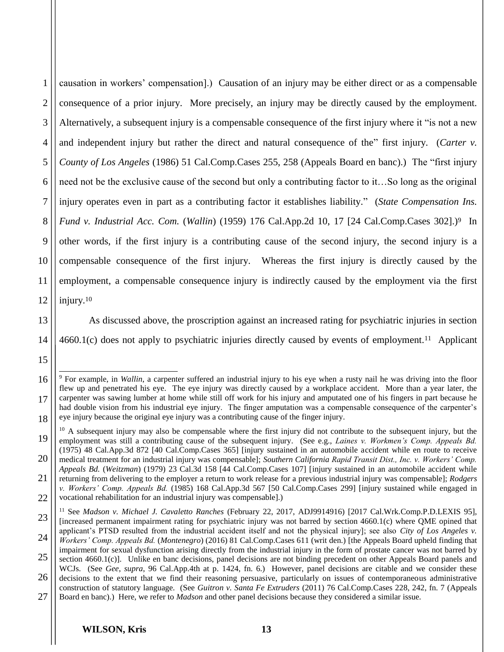1 2 3 4 5 6 7 8 9 10 11 12 causation in workers' compensation].) Causation of an injury may be either direct or as a compensable consequence of a prior injury. More precisely, an injury may be directly caused by the employment. Alternatively, a subsequent injury is a compensable consequence of the first injury where it "is not a new and independent injury but rather the direct and natural consequence of the" first injury. (*Carter v. County of Los Angeles* (1986) 51 Cal.Comp.Cases 255, 258 (Appeals Board en banc).) The "first injury need not be the exclusive cause of the second but only a contributing factor to it…So long as the original injury operates even in part as a contributing factor it establishes liability." (*State Compensation Ins. Fund v. Industrial Acc. Com.* (*Wallin*) (1959) 176 Cal.App.2d 10, 17 [24 Cal.Comp.Cases 302].)9 In other words, if the first injury is a contributing cause of the second injury, the second injury is a compensable consequence of the first injury. Whereas the first injury is directly caused by the employment, a compensable consequence injury is indirectly caused by the employment via the first injury. 10

13 14

15

As discussed above, the proscription against an increased rating for psychiatric injuries in section 4660.1(c) does not apply to psychiatric injuries directly caused by events of employment.11 Applicant

<sup>16</sup> 17 18  $\overline{a}$ <sup>9</sup> For example, in *Wallin*, a carpenter suffered an industrial injury to his eye when a rusty nail he was driving into the floor flew up and penetrated his eye. The eye injury was directly caused by a workplace accident. More than a year later, the carpenter was sawing lumber at home while still off work for his injury and amputated one of his fingers in part because he had double vision from his industrial eye injury. The finger amputation was a compensable consequence of the carpenter's eye injury because the original eye injury was a contributing cause of the finger injury.

<sup>19</sup> 20  $10$  A subsequent injury may also be compensable where the first injury did not contribute to the subsequent injury, but the employment was still a contributing cause of the subsequent injury. (See e.g., *Laines v. Workmen's Comp. Appeals Bd.* (1975) 48 Cal.App.3d 872 [40 Cal.Comp.Cases 365] [injury sustained in an automobile accident while en route to receive

<sup>21</sup> medical treatment for an industrial injury was compensable]; *Southern California Rapid Transit Dist., Inc. v. Workers' Comp. Appeals Bd.* (*Weitzman*) (1979) 23 Cal.3d 158 [44 Cal.Comp.Cases 107] [injury sustained in an automobile accident while returning from delivering to the employer a return to work release for a previous industrial injury was compensable]; *Rodgers v. Workers' Comp. Appeals Bd.* (1985) 168 Cal.App.3d 567 [50 Cal.Comp.Cases 299] [injury sustained while engaged in

<sup>22</sup> vocational rehabilitation for an industrial injury was compensable].)

<sup>23</sup> <sup>11</sup> See *Madson v. Michael J. Cavaletto Ranches* (February 22, 2017, ADJ9914916) [2017 Cal.Wrk.Comp.P.D.LEXIS 95], [increased permanent impairment rating for psychiatric injury was not barred by section 4660.1(c) where QME opined that applicant's PTSD resulted from the industrial accident itself and not the physical injury]; see also *City of Los Angeles v.* 

<sup>24</sup> 25 *Workers' Comp. Appeals Bd.* (*Montenegro*) (2016) 81 Cal.Comp.Cases 611 (writ den.) [the Appeals Board upheld finding that impairment for sexual dysfunction arising directly from the industrial injury in the form of prostate cancer was not barred by section 4660.1(c)]. Unlike en banc decisions, panel decisions are not binding precedent on other Appeals Board panels and

<sup>26</sup> 27 WCJs. (See *Gee*, *supra*, 96 Cal.App.4th at p. 1424, fn. 6.) However, panel decisions are citable and we consider these decisions to the extent that we find their reasoning persuasive, particularly on issues of contemporaneous administrative construction of statutory language. (See *Guitron v. Santa Fe Extruders* (2011) 76 Cal.Comp.Cases 228, 242, fn. 7 (Appeals Board en banc).) Here, we refer to *Madson* and other panel decisions because they considered a similar issue.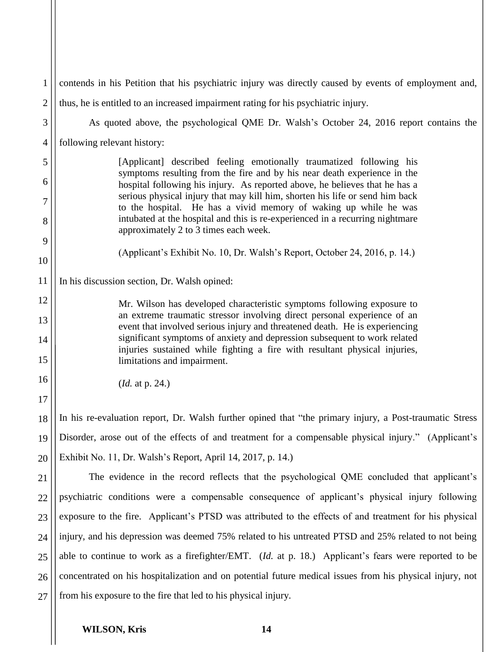| 1              | contends in his Petition that his psychiatric injury was directly caused by events of employment and,                                                                                                                                   |
|----------------|-----------------------------------------------------------------------------------------------------------------------------------------------------------------------------------------------------------------------------------------|
| $\overline{2}$ | thus, he is entitled to an increased impairment rating for his psychiatric injury.                                                                                                                                                      |
| 3              | As quoted above, the psychological QME Dr. Walsh's October 24, 2016 report contains the                                                                                                                                                 |
| $\overline{4}$ | following relevant history:                                                                                                                                                                                                             |
| 5              | [Applicant] described feeling emotionally traumatized following his                                                                                                                                                                     |
| 6<br>7         | symptoms resulting from the fire and by his near death experience in the<br>hospital following his injury. As reported above, he believes that he has a<br>serious physical injury that may kill him, shorten his life or send him back |
| 8              | to the hospital. He has a vivid memory of waking up while he was<br>intubated at the hospital and this is re-experienced in a recurring nightmare<br>approximately 2 to 3 times each week.                                              |
| 9              |                                                                                                                                                                                                                                         |
| 10             | (Applicant's Exhibit No. 10, Dr. Walsh's Report, October 24, 2016, p. 14.)                                                                                                                                                              |
| 11             | In his discussion section, Dr. Walsh opined:                                                                                                                                                                                            |
| 12             | Mr. Wilson has developed characteristic symptoms following exposure to                                                                                                                                                                  |
| 13             | an extreme traumatic stressor involving direct personal experience of an<br>event that involved serious injury and threatened death. He is experiencing                                                                                 |
| 14<br>15       | significant symptoms of anxiety and depression subsequent to work related<br>injuries sustained while fighting a fire with resultant physical injuries,<br>limitations and impairment.                                                  |
| 16             | ( <i>Id.</i> at p. 24.)                                                                                                                                                                                                                 |
| 17             |                                                                                                                                                                                                                                         |
| 18             | In his re-evaluation report, Dr. Walsh further opined that "the primary injury, a Post-traumatic Stress                                                                                                                                 |
| 19             | Disorder, arose out of the effects of and treatment for a compensable physical injury." (Applicant's                                                                                                                                    |
| 20             | Exhibit No. 11, Dr. Walsh's Report, April 14, 2017, p. 14.)                                                                                                                                                                             |
| 21             | The evidence in the record reflects that the psychological QME concluded that applicant's                                                                                                                                               |
| 22             | psychiatric conditions were a compensable consequence of applicant's physical injury following                                                                                                                                          |
| 23             | exposure to the fire. Applicant's PTSD was attributed to the effects of and treatment for his physical                                                                                                                                  |
| 24             | injury, and his depression was deemed 75% related to his untreated PTSD and 25% related to not being                                                                                                                                    |
| 25             | able to continue to work as a firefighter/EMT. (Id. at p. 18.) Applicant's fears were reported to be                                                                                                                                    |
| 26             | concentrated on his hospitalization and on potential future medical issues from his physical injury, not                                                                                                                                |
| 27             | from his exposure to the fire that led to his physical injury.                                                                                                                                                                          |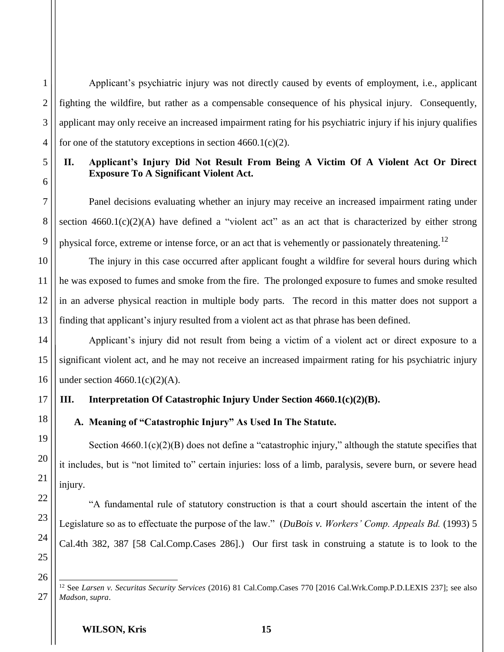Applicant's psychiatric injury was not directly caused by events of employment, i.e., applicant fighting the wildfire, but rather as a compensable consequence of his physical injury. Consequently, applicant may only receive an increased impairment rating for his psychiatric injury if his injury qualifies for one of the statutory exceptions in section  $4660.1(c)(2)$ .

## **II. Applicant's Injury Did Not Result From Being A Victim Of A Violent Act Or Direct Exposure To A Significant Violent Act.**

Panel decisions evaluating whether an injury may receive an increased impairment rating under section  $4660.1(c)(2)(A)$  have defined a "violent act" as an act that is characterized by either strong physical force, extreme or intense force, or an act that is vehemently or passionately threatening.<sup>12</sup>

The injury in this case occurred after applicant fought a wildfire for several hours during which he was exposed to fumes and smoke from the fire. The prolonged exposure to fumes and smoke resulted in an adverse physical reaction in multiple body parts. The record in this matter does not support a finding that applicant's injury resulted from a violent act as that phrase has been defined.

Applicant's injury did not result from being a victim of a violent act or direct exposure to a significant violent act, and he may not receive an increased impairment rating for his psychiatric injury under section  $4660.1(c)(2)(A)$ .

## **III. Interpretation Of Catastrophic Injury Under Section 4660.1(c)(2)(B).**

# **A. Meaning of "Catastrophic Injury" As Used In The Statute.**

Section  $4660.1(c)(2)(B)$  does not define a "catastrophic injury," although the statute specifies that it includes, but is "not limited to" certain injuries: loss of a limb, paralysis, severe burn, or severe head injury.

"A fundamental rule of statutory construction is that a court should ascertain the intent of the Legislature so as to effectuate the purpose of the law." (*DuBois v. Workers' Comp. Appeals Bd.* (1993) 5 Cal.4th 382, 387 [58 Cal.Comp.Cases 286].) Our first task in construing a statute is to look to the

25 26

27

1

2

3

4

5

6

7

8

9

10

11

12

13

14

15

16

17

18

19

20

21

22

23

 $\overline{a}$ <sup>12</sup> See *Larsen v. Securitas Security Services* (2016) 81 Cal.Comp.Cases 770 [2016 Cal.Wrk.Comp.P.D.LEXIS 237]; see also *Madson*, *supra*.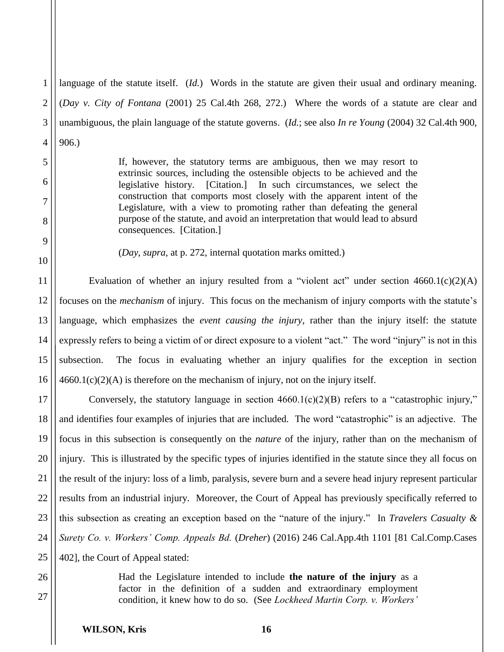4 language of the statute itself. (*Id.*) Words in the statute are given their usual and ordinary meaning. (*Day v. City of Fontana* (2001) 25 Cal.4th 268, 272.) Where the words of a statute are clear and unambiguous, the plain language of the statute governs. (*Id.*; see also *In re Young* (2004) 32 Cal.4th 900, 906.)

> If, however, the statutory terms are ambiguous, then we may resort to extrinsic sources, including the ostensible objects to be achieved and the legislative history. [Citation.] In such circumstances, we select the construction that comports most closely with the apparent intent of the Legislature, with a view to promoting rather than defeating the general purpose of the statute, and avoid an interpretation that would lead to absurd consequences. [Citation.]

(*Day*, *supra*, at p. 272, internal quotation marks omitted.)

11 12 13 14 15 16 Evaluation of whether an injury resulted from a "violent act" under section  $4660.1(c)(2)(A)$ focuses on the *mechanism* of injury. This focus on the mechanism of injury comports with the statute's language, which emphasizes the *event causing the injury*, rather than the injury itself: the statute expressly refers to being a victim of or direct exposure to a violent "act." The word "injury" is not in this subsection. The focus in evaluating whether an injury qualifies for the exception in section  $4660.1(c)(2)(A)$  is therefore on the mechanism of injury, not on the injury itself.

17 18 19 20 21 22 23 24 25 Conversely, the statutory language in section  $4660.1(c)(2)(B)$  refers to a "catastrophic injury," and identifies four examples of injuries that are included. The word "catastrophic" is an adjective. The focus in this subsection is consequently on the *nature* of the injury, rather than on the mechanism of injury. This is illustrated by the specific types of injuries identified in the statute since they all focus on the result of the injury: loss of a limb, paralysis, severe burn and a severe head injury represent particular results from an industrial injury. Moreover, the Court of Appeal has previously specifically referred to this subsection as creating an exception based on the "nature of the injury." In *Travelers Casualty & Surety Co. v. Workers' Comp. Appeals Bd.* (*Dreher*) (2016) 246 Cal.App.4th 1101 [81 Cal.Comp.Cases 402], the Court of Appeal stated:

26 27

1

2

3

5

6

7

8

9

10

Had the Legislature intended to include **the nature of the injury** as a factor in the definition of a sudden and extraordinary employment condition, it knew how to do so. (See *Lockheed Martin Corp. v. Workers'*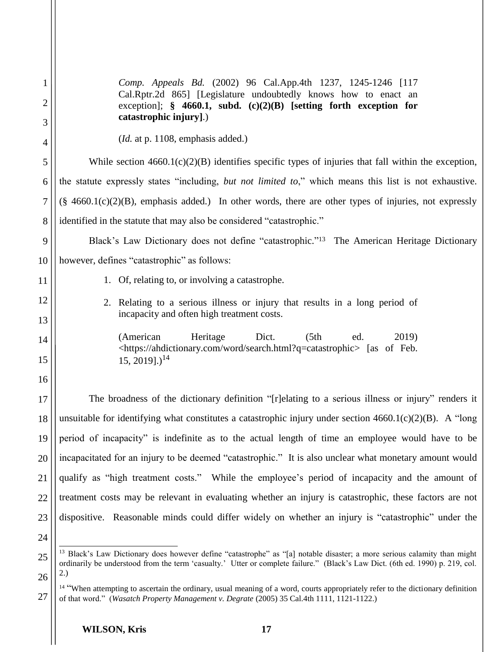| $\mathbf 1$    | Comp. Appeals Bd. (2002) 96 Cal.App.4th 1237, 1245-1246 [117<br>Cal.Rptr.2d 865] [Legislature undoubtedly knows how to enact an                                                                                                                                      |
|----------------|----------------------------------------------------------------------------------------------------------------------------------------------------------------------------------------------------------------------------------------------------------------------|
| 2<br>3         | exception]; $\S$ 4660.1, subd. (c)(2)(B) [setting forth exception for<br>catastrophic injury].)                                                                                                                                                                      |
| $\overline{4}$ | $(Id.$ at p. 1108, emphasis added.)                                                                                                                                                                                                                                  |
| 5              | While section $4660.1(c)(2)(B)$ identifies specific types of injuries that fall within the exception,                                                                                                                                                                |
| 6              | the statute expressly states "including, but not limited to," which means this list is not exhaustive.                                                                                                                                                               |
| 7              | $(\S$ 4660.1(c)(2)(B), emphasis added.) In other words, there are other types of injuries, not expressly                                                                                                                                                             |
| 8              | identified in the statute that may also be considered "catastrophic."                                                                                                                                                                                                |
| 9              | Black's Law Dictionary does not define "catastrophic." <sup>13</sup> The American Heritage Dictionary                                                                                                                                                                |
| 10             | however, defines "catastrophic" as follows:                                                                                                                                                                                                                          |
| 11             | 1. Of, relating to, or involving a catastrophe.                                                                                                                                                                                                                      |
| 12             | 2. Relating to a serious illness or injury that results in a long period of                                                                                                                                                                                          |
| 13             | incapacity and often high treatment costs.                                                                                                                                                                                                                           |
| 14<br>15       | Heritage<br>(American<br>Dict.<br>(5th)<br>2019)<br>ed.<br><https: ahdictionary.com="" search.html?q="catastrophic" word=""> [as of Feb.<br/><math>15, 2019</math>].)<sup>14</sup></https:>                                                                          |
| 16             |                                                                                                                                                                                                                                                                      |
| 17             | The broadness of the dictionary definition "[r] elating to a serious illness or injury" renders it                                                                                                                                                                   |
| 18             | unsuitable for identifying what constitutes a catastrophic injury under section $4660.1(c)(2)(B)$ . A "long                                                                                                                                                          |
| 19             | period of incapacity" is indefinite as to the actual length of time an employee would have to be                                                                                                                                                                     |
| 20             | incapacitated for an injury to be deemed "catastrophic." It is also unclear what monetary amount would                                                                                                                                                               |
| 21             | qualify as "high treatment costs." While the employee's period of incapacity and the amount of                                                                                                                                                                       |
| 22             | treatment costs may be relevant in evaluating whether an injury is catastrophic, these factors are not                                                                                                                                                               |
| 23             | dispositive. Reasonable minds could differ widely on whether an injury is "catastrophic" under the                                                                                                                                                                   |
| 24             |                                                                                                                                                                                                                                                                      |
| 25             | <sup>13</sup> Black's Law Dictionary does however define "catastrophe" as "[a] notable disaster; a more serious calamity than might<br>ordinarily be understood from the term 'casualty.' Utter or complete failure." (Black's Law Dict. (6th ed. 1990) p. 219, col. |
| 26             | 2.)                                                                                                                                                                                                                                                                  |
| 27             | <sup>14</sup> "When attempting to ascertain the ordinary, usual meaning of a word, courts appropriately refer to the dictionary definition<br>of that word." (Wasatch Property Management v. Degrate (2005) 35 Cal.4th 1111, 1121-1122.)                             |

**WILSON, Kris 17**

of that word." (*Wasatch Property Management v. Degrate* (2005) 35 Cal.4th 1111, 1121-1122.)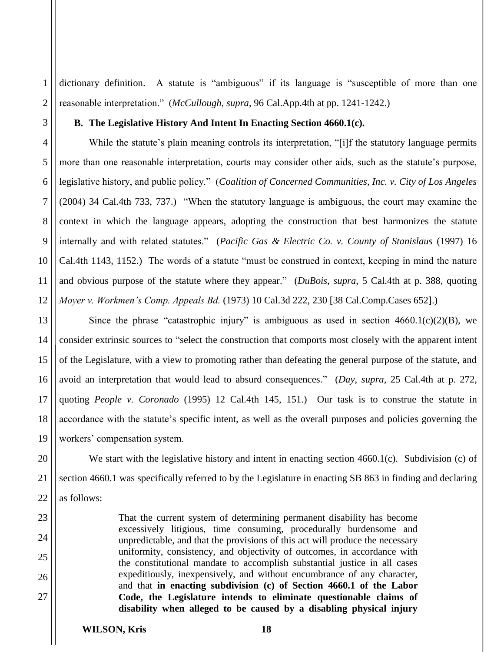dictionary definition. A statute is "ambiguous" if its language is "susceptible of more than one reasonable interpretation." (*McCullough*, *supra*, 96 Cal.App.4th at pp. 1241-1242.)

#### **B. The Legislative History And Intent In Enacting Section 4660.1(c).**

While the statute's plain meaning controls its interpretation, "[i]f the statutory language permits more than one reasonable interpretation, courts may consider other aids, such as the statute's purpose, legislative history, and public policy." (*Coalition of Concerned Communities, Inc. v. City of Los Angeles*  (2004) 34 Cal.4th 733, 737.) "When the statutory language is ambiguous, the court may examine the context in which the language appears, adopting the construction that best harmonizes the statute internally and with related statutes." (*Pacific Gas & Electric Co. v. County of Stanislaus* (1997) 16 Cal.4th 1143, 1152.) The words of a statute "must be construed in context, keeping in mind the nature and obvious purpose of the statute where they appear." (*DuBois*, *supra*, 5 Cal.4th at p. 388, quoting *Moyer v. Workmen's Comp. Appeals Bd.* (1973) 10 Cal.3d 222, 230 [38 Cal.Comp.Cases 652].)

13 14 15 16 17 18 19 Since the phrase "catastrophic injury" is ambiguous as used in section  $4660.1(c)(2)(B)$ , we consider extrinsic sources to "select the construction that comports most closely with the apparent intent of the Legislature, with a view to promoting rather than defeating the general purpose of the statute, and avoid an interpretation that would lead to absurd consequences." (*Day*, *supra*, 25 Cal.4th at p. 272, quoting *People v. Coronado* (1995) 12 Cal.4th 145, 151.) Our task is to construe the statute in accordance with the statute's specific intent, as well as the overall purposes and policies governing the workers' compensation system.

We start with the legislative history and intent in enacting section 4660.1(c). Subdivision (c) of section 4660.1 was specifically referred to by the Legislature in enacting SB 863 in finding and declaring as follows:

> That the current system of determining permanent disability has become excessively litigious, time consuming, procedurally burdensome and unpredictable, and that the provisions of this act will produce the necessary uniformity, consistency, and objectivity of outcomes, in accordance with the constitutional mandate to accomplish substantial justice in all cases expeditiously, inexpensively, and without encumbrance of any character, and that **in enacting subdivision (c) of Section 4660.1 of the Labor Code, the Legislature intends to eliminate questionable claims of disability when alleged to be caused by a disabling physical injury**

1

2

3

4

5

6

7

8

9

10

11

12

20

21

22

23

24

25

26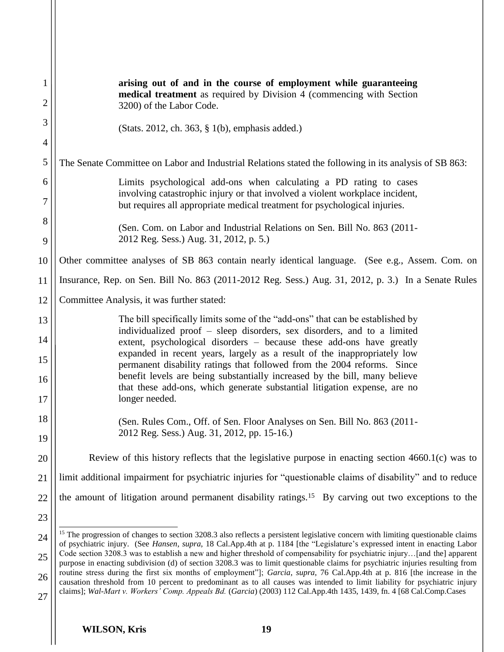| 1              | arising out of and in the course of employment while guaranteeing                                                                                                                                                                                                          |
|----------------|----------------------------------------------------------------------------------------------------------------------------------------------------------------------------------------------------------------------------------------------------------------------------|
| $\overline{2}$ | medical treatment as required by Division 4 (commencing with Section<br>3200) of the Labor Code.                                                                                                                                                                           |
| 3              | (Stats. 2012, ch. 363, § 1(b), emphasis added.)                                                                                                                                                                                                                            |
| $\overline{4}$ |                                                                                                                                                                                                                                                                            |
| 5              | The Senate Committee on Labor and Industrial Relations stated the following in its analysis of SB 863:                                                                                                                                                                     |
| 6              | Limits psychological add-ons when calculating a PD rating to cases<br>involving catastrophic injury or that involved a violent workplace incident,                                                                                                                         |
| 7              | but requires all appropriate medical treatment for psychological injuries.                                                                                                                                                                                                 |
| 8<br>9         | (Sen. Com. on Labor and Industrial Relations on Sen. Bill No. 863 (2011-<br>2012 Reg. Sess.) Aug. 31, 2012, p. 5.)                                                                                                                                                         |
| 10             | Other committee analyses of SB 863 contain nearly identical language. (See e.g., Assem. Com. on                                                                                                                                                                            |
| 11             | Insurance, Rep. on Sen. Bill No. 863 (2011-2012 Reg. Sess.) Aug. 31, 2012, p. 3.) In a Senate Rules                                                                                                                                                                        |
| 12             | Committee Analysis, it was further stated:                                                                                                                                                                                                                                 |
| 13             | The bill specifically limits some of the "add-ons" that can be established by<br>individualized proof - sleep disorders, sex disorders, and to a limited                                                                                                                   |
| 14             | extent, psychological disorders - because these add-ons have greatly<br>expanded in recent years, largely as a result of the inappropriately low                                                                                                                           |
| 15             | permanent disability ratings that followed from the 2004 reforms. Since                                                                                                                                                                                                    |
| 16<br>17       | benefit levels are being substantially increased by the bill, many believe<br>that these add-ons, which generate substantial litigation expense, are no<br>longer needed.                                                                                                  |
| 18             | (Sen. Rules Com., Off. of Sen. Floor Analyses on Sen. Bill No. 863 (2011-                                                                                                                                                                                                  |
| 19             | 2012 Reg. Sess.) Aug. 31, 2012, pp. 15-16.)                                                                                                                                                                                                                                |
| 20             | Review of this history reflects that the legislative purpose in enacting section $4660.1(c)$ was to                                                                                                                                                                        |
| 21             | limit additional impairment for psychiatric injuries for "questionable claims of disability" and to reduce                                                                                                                                                                 |
| 22             | the amount of litigation around permanent disability ratings. <sup>15</sup> By carving out two exceptions to the                                                                                                                                                           |
| 23             |                                                                                                                                                                                                                                                                            |
| 24             | <sup>15</sup> The progression of changes to section 3208.3 also reflects a persistent legislative concern with limiting questionable claims<br>of psychiatric injury. (See Hansen, supra, 18 Cal.App.4th at p. 1184 [the "Legislature's expressed intent in enacting Labor |
| 25             | Code section 3208.3 was to establish a new and higher threshold of compensability for psychiatric injury[and the] apparent<br>purpose in enacting subdivision (d) of section 3208.3 was to limit questionable claims for psychiatric injuries resulting from               |
| 26             | routine stress during the first six months of employment"]; Garcia, supra, 76 Cal.App.4th at p. 816 [the increase in the<br>causation threshold from 10 percent to predominant as to all causes was intended to limit liability for psychiatric injury                     |
| 27             | claims]; Wal-Mart v. Workers' Comp. Appeals Bd. (Garcia) (2003) 112 Cal.App.4th 1435, 1439, fn. 4 [68 Cal.Comp.Cases                                                                                                                                                       |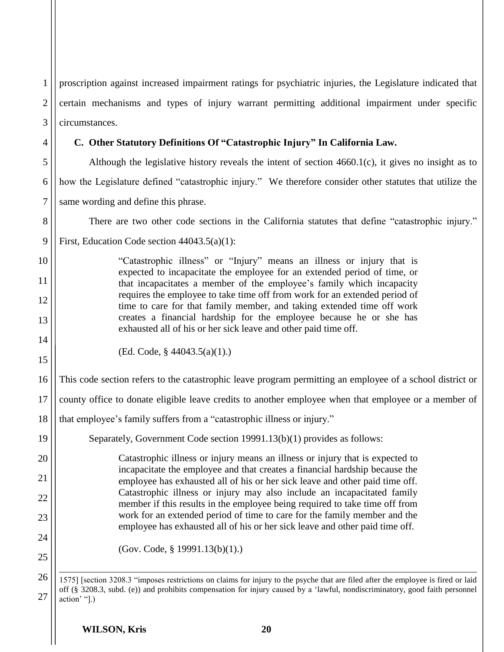1 2 3 4 5 proscription against increased impairment ratings for psychiatric injuries, the Legislature indicated that certain mechanisms and types of injury warrant permitting additional impairment under specific circumstances. **C. Other Statutory Definitions Of "Catastrophic Injury" In California Law.** Although the legislative history reveals the intent of section 4660.1(c), it gives no insight as to how the Legislature defined "catastrophic injury." We therefore consider other statutes that utilize the

6 7 same wording and define this phrase.

There are two other code sections in the California statutes that define "catastrophic injury."

First, Education Code section 44043.5(a)(1):

"Catastrophic illness" or "Injury" means an illness or injury that is expected to incapacitate the employee for an extended period of time, or that incapacitates a member of the employee's family which incapacity requires the employee to take time off from work for an extended period of time to care for that family member, and taking extended time off work creates a financial hardship for the employee because he or she has exhausted all of his or her sick leave and other paid time off.

14 15

19

20

21

22

23

24

25

26

27

8

9

10

11

12

13

(Ed. Code, § 44043.5(a)(1).)

16 This code section refers to the catastrophic leave program permitting an employee of a school district or

17 county office to donate eligible leave credits to another employee when that employee or a member of

18 that employee's family suffers from a "catastrophic illness or injury."

Separately, Government Code section 19991.13(b)(1) provides as follows:

Catastrophic illness or injury means an illness or injury that is expected to incapacitate the employee and that creates a financial hardship because the employee has exhausted all of his or her sick leave and other paid time off. Catastrophic illness or injury may also include an incapacitated family member if this results in the employee being required to take time off from work for an extended period of time to care for the family member and the employee has exhausted all of his or her sick leave and other paid time off.

(Gov. Code, § 19991.13(b)(1).)

 $\overline{a}$ 1575] [section 3208.3 "imposes restrictions on claims for injury to the psyche that are filed after the employee is fired or laid off (§ 3208.3, subd. (e)) and prohibits compensation for injury caused by a 'lawful, nondiscriminatory, good faith personnel action' "].)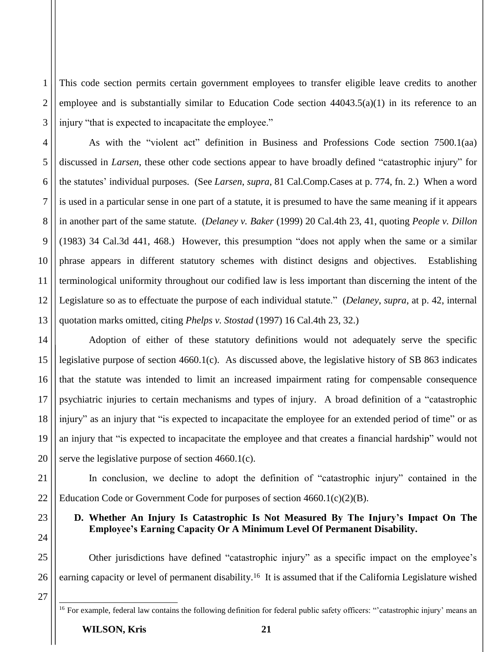This code section permits certain government employees to transfer eligible leave credits to another employee and is substantially similar to Education Code section 44043.5(a)(1) in its reference to an injury "that is expected to incapacitate the employee."

4 6 8 9 10 13 As with the "violent act" definition in Business and Professions Code section 7500.1(aa) discussed in *Larsen*, these other code sections appear to have broadly defined "catastrophic injury" for the statutes' individual purposes. (See *Larsen*, *supra*, 81 Cal.Comp.Cases at p. 774, fn. 2.) When a word is used in a particular sense in one part of a statute, it is presumed to have the same meaning if it appears in another part of the same statute. (*Delaney v. Baker* (1999) 20 Cal.4th 23, 41, quoting *People v. Dillon* (1983) 34 Cal.3d 441, 468.) However, this presumption "does not apply when the same or a similar phrase appears in different statutory schemes with distinct designs and objectives. Establishing terminological uniformity throughout our codified law is less important than discerning the intent of the Legislature so as to effectuate the purpose of each individual statute." (*Delaney*, *supra*, at p. 42, internal quotation marks omitted, citing *Phelps v. Stostad* (1997) 16 Cal.4th 23, 32.)

Adoption of either of these statutory definitions would not adequately serve the specific legislative purpose of section 4660.1(c). As discussed above, the legislative history of SB 863 indicates that the statute was intended to limit an increased impairment rating for compensable consequence psychiatric injuries to certain mechanisms and types of injury. A broad definition of a "catastrophic injury" as an injury that "is expected to incapacitate the employee for an extended period of time" or as an injury that "is expected to incapacitate the employee and that creates a financial hardship" would not serve the legislative purpose of section 4660.1(c).

22 In conclusion, we decline to adopt the definition of "catastrophic injury" contained in the Education Code or Government Code for purposes of section 4660.1(c)(2)(B).

### **D. Whether An Injury Is Catastrophic Is Not Measured By The Injury's Impact On The Employee's Earning Capacity Or A Minimum Level Of Permanent Disability.**

Other jurisdictions have defined "catastrophic injury" as a specific impact on the employee's earning capacity or level of permanent disability.<sup>16</sup> It is assumed that if the California Legislature wished

27

 $\overline{a}$ 

26

1

2

3

5

7

11

12

14

15

16

17

18

19

20

21

23

24

<sup>&</sup>lt;sup>16</sup> For example, federal law contains the following definition for federal public safety officers: "catastrophic injury' means an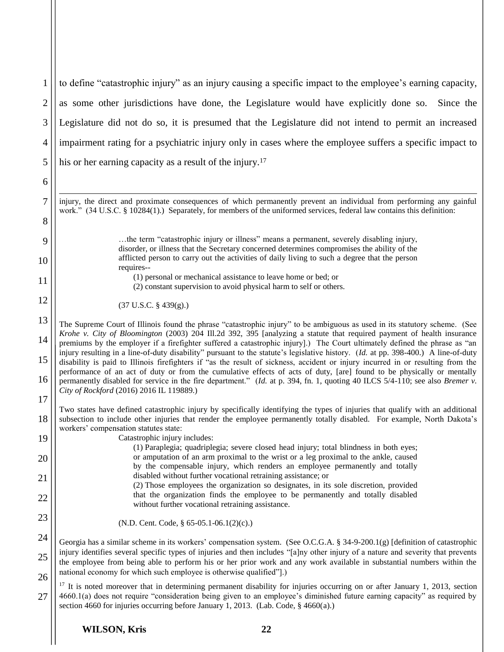1 2 3 4 5 to define "catastrophic injury" as an injury causing a specific impact to the employee's earning capacity, as some other jurisdictions have done, the Legislature would have explicitly done so. Since the Legislature did not do so, it is presumed that the Legislature did not intend to permit an increased impairment rating for a psychiatric injury only in cases where the employee suffers a specific impact to his or her earning capacity as a result of the injury.<sup>17</sup>

 $\overline{a}$ injury, the direct and proximate consequences of which permanently prevent an individual from performing any gainful work." (34 U.S.C. § 10284(1).) Separately, for members of the uniformed services, federal law contains this definition:

> …the term "catastrophic injury or illness" means a permanent, severely disabling injury, disorder, or illness that the Secretary concerned determines compromises the ability of the afflicted person to carry out the activities of daily living to such a degree that the person requires--

(1) personal or mechanical assistance to leave home or bed; or

(2) constant supervision to avoid physical harm to self or others.

(37 U.S.C. § 439(g).)

6

7

8

9

10

11

12

18

19

20

21

22

23

27

13 14 15 16 17 The Supreme Court of Illinois found the phrase "catastrophic injury" to be ambiguous as used in its statutory scheme. (See *Krohe v. City of Bloomington* (2003) 204 Ill.2d 392, 395 [analyzing a statute that required payment of health insurance premiums by the employer if a firefighter suffered a catastrophic injury].) The Court ultimately defined the phrase as "an injury resulting in a line-of-duty disability" pursuant to the statute's legislative history. (*Id.* at pp. 398-400.) A line-of-duty disability is paid to Illinois firefighters if "as the result of sickness, accident or injury incurred in or resulting from the performance of an act of duty or from the cumulative effects of acts of duty, [are] found to be physically or mentally permanently disabled for service in the fire department." (*Id.* at p. 394, fn. 1, quoting 40 ILCS 5/4-110; see also *Bremer v. City of Rockford* (2016) 2016 IL 119889.)

Two states have defined catastrophic injury by specifically identifying the types of injuries that qualify with an additional subsection to include other injuries that render the employee permanently totally disabled. For example, North Dakota's workers' compensation statutes state:

Catastrophic injury includes:

- (1) Paraplegia; quadriplegia; severe closed head injury; total blindness in both eyes; or amputation of an arm proximal to the wrist or a leg proximal to the ankle, caused by the compensable injury, which renders an employee permanently and totally disabled without further vocational retraining assistance; or (2) Those employees the organization so designates, in its sole discretion, provided
	- that the organization finds the employee to be permanently and totally disabled without further vocational retraining assistance.
		- (N.D. Cent. Code, § 65-05.1-06.1(2)(c).)

24 25 26 Georgia has a similar scheme in its workers' compensation system. (See O.C.G.A. § 34-9-200.1(g) [definition of catastrophic injury identifies several specific types of injuries and then includes "[a]ny other injury of a nature and severity that prevents the employee from being able to perform his or her prior work and any work available in substantial numbers within the national economy for which such employee is otherwise qualified"].)

<sup>17</sup> It is noted moreover that in determining permanent disability for injuries occurring on or after January 1, 2013, section 4660.1(a) does not require "consideration being given to an employee's diminished future earning capacity" as required by section 4660 for injuries occurring before January 1, 2013. (Lab. Code, § 4660(a).)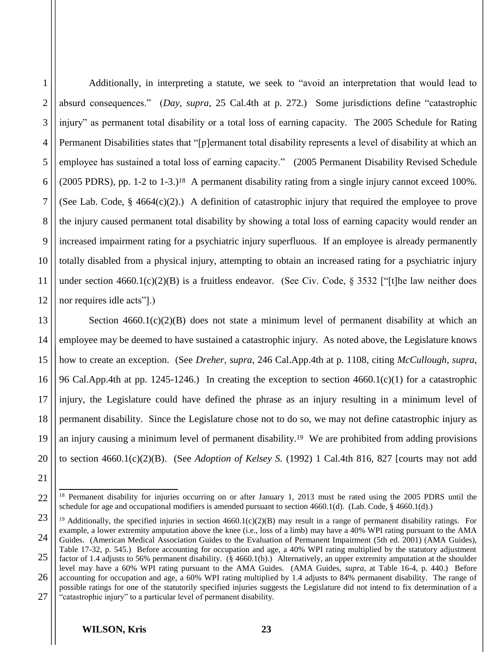1

2

3

4

Additionally, in interpreting a statute, we seek to "avoid an interpretation that would lead to absurd consequences." (*Day*, *supra*, 25 Cal.4th at p. 272.) Some jurisdictions define "catastrophic injury" as permanent total disability or a total loss of earning capacity. The 2005 Schedule for Rating Permanent Disabilities states that "[p]ermanent total disability represents a level of disability at which an employee has sustained a total loss of earning capacity." (2005 Permanent Disability Revised Schedule (2005 PDRS), pp. 1-2 to 1-3.)18 A permanent disability rating from a single injury cannot exceed 100%. (See Lab. Code,  $\S$  4664(c)(2).) A definition of catastrophic injury that required the employee to prove the injury caused permanent total disability by showing a total loss of earning capacity would render an increased impairment rating for a psychiatric injury superfluous. If an employee is already permanently totally disabled from a physical injury, attempting to obtain an increased rating for a psychiatric injury under section  $4660.1(c)(2)(B)$  is a fruitless endeavor. (See Civ. Code, § 3532 ["[t]he law neither does nor requires idle acts"].)

Section  $4660.1(c)(2)(B)$  does not state a minimum level of permanent disability at which an employee may be deemed to have sustained a catastrophic injury. As noted above, the Legislature knows how to create an exception. (See *Dreher*, *supra*, 246 Cal.App.4th at p. 1108, citing *McCullough*, *supra*, 96 Cal.App.4th at pp. 1245-1246.) In creating the exception to section 4660.1(c)(1) for a catastrophic injury, the Legislature could have defined the phrase as an injury resulting in a minimum level of permanent disability. Since the Legislature chose not to do so, we may not define catastrophic injury as an injury causing a minimum level of permanent disability.19 We are prohibited from adding provisions to section 4660.1(c)(2)(B). (See *Adoption of Kelsey S.* (1992) 1 Cal.4th 816, 827 [courts may not add

<sup>&</sup>lt;sup>18</sup> Permanent disability for injuries occurring on or after January 1, 2013 must be rated using the 2005 PDRS until the schedule for age and occupational modifiers is amended pursuant to section 4660.1(d). (Lab. Code, § 4660.1(d).)

<sup>&</sup>lt;sup>19</sup> Additionally, the specified injuries in section  $4660.1(c)(2)(B)$  may result in a range of permanent disability ratings. For example, a lower extremity amputation above the knee (i.e., loss of a limb) may have a 40% WPI rating pursuant to the AMA Guides. (American Medical Association Guides to the Evaluation of Permanent Impairment (5th ed. 2001) (AMA Guides),

<sup>25</sup> 26 Table 17-32, p. 545.) Before accounting for occupation and age, a 40% WPI rating multiplied by the statutory adjustment factor of 1.4 adjusts to 56% permanent disability. (§ 4660.1(b).) Alternatively, an upper extremity amputation at the shoulder level may have a 60% WPI rating pursuant to the AMA Guides. (AMA Guides, *supra*, at Table 16-4, p. 440.) Before accounting for occupation and age, a 60% WPI rating multiplied by 1.4 adjusts to 84% permanent disability. The range of

possible ratings for one of the statutorily specified injuries suggests the Legislature did not intend to fix determination of a "catastrophic injury" to a particular level of permanent disability.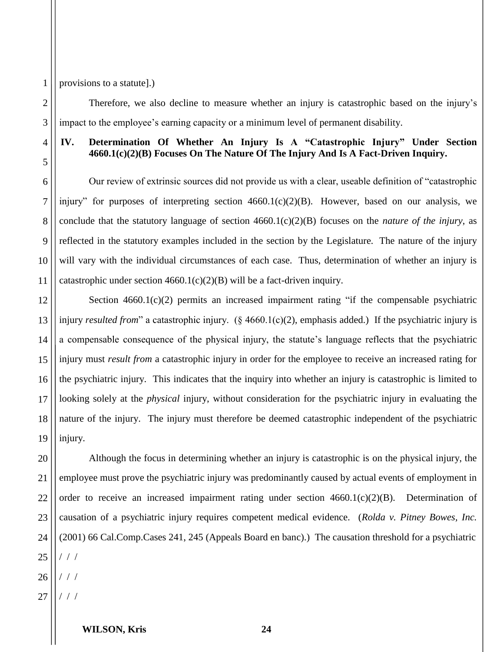provisions to a statute].)

Therefore, we also decline to measure whether an injury is catastrophic based on the injury's impact to the employee's earning capacity or a minimum level of permanent disability.

4

1

2

3

5

6

7

8

9

10

11

12

## **IV. Determination Of Whether An Injury Is A "Catastrophic Injury" Under Section 4660.1(c)(2)(B) Focuses On The Nature Of The Injury And Is A Fact-Driven Inquiry.**

Our review of extrinsic sources did not provide us with a clear, useable definition of "catastrophic injury" for purposes of interpreting section 4660.1(c)(2)(B). However, based on our analysis, we conclude that the statutory language of section 4660.1(c)(2)(B) focuses on the *nature of the injury*, as reflected in the statutory examples included in the section by the Legislature. The nature of the injury will vary with the individual circumstances of each case. Thus, determination of whether an injury is catastrophic under section  $4660.1(c)(2)(B)$  will be a fact-driven inquiry.

13 14 15 16 17 18 19 Section  $4660.1(c)(2)$  permits an increased impairment rating "if the compensable psychiatric injury *resulted from*" a catastrophic injury. (§ 4660.1(c)(2), emphasis added.) If the psychiatric injury is a compensable consequence of the physical injury, the statute's language reflects that the psychiatric injury must *result from* a catastrophic injury in order for the employee to receive an increased rating for the psychiatric injury. This indicates that the inquiry into whether an injury is catastrophic is limited to looking solely at the *physical* injury, without consideration for the psychiatric injury in evaluating the nature of the injury. The injury must therefore be deemed catastrophic independent of the psychiatric injury.

20 21 22 23 24 25 26 Although the focus in determining whether an injury is catastrophic is on the physical injury, the employee must prove the psychiatric injury was predominantly caused by actual events of employment in order to receive an increased impairment rating under section 4660.1(c)(2)(B). Determination of causation of a psychiatric injury requires competent medical evidence. (*Rolda v. Pitney Bowes, Inc.* (2001) 66 Cal.Comp.Cases 241, 245 (Appeals Board en banc).) The causation threshold for a psychiatric / / / / / /

27 / / /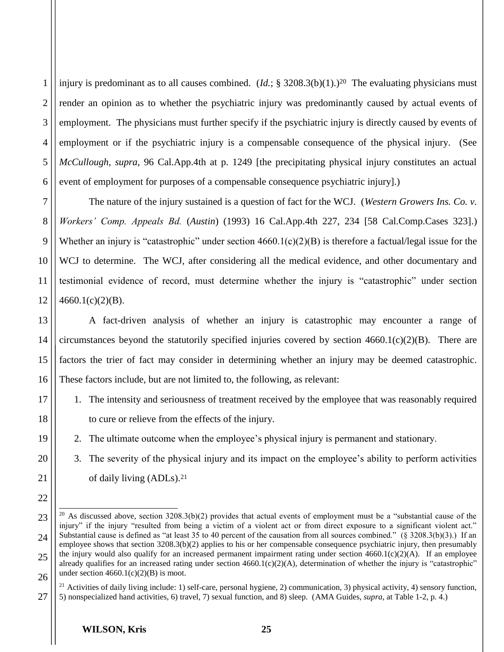1 2 3 4 5 6 injury is predominant as to all causes combined. (*Id.*; § 3208.3(b)(1).)<sup>20</sup> The evaluating physicians must render an opinion as to whether the psychiatric injury was predominantly caused by actual events of employment. The physicians must further specify if the psychiatric injury is directly caused by events of employment or if the psychiatric injury is a compensable consequence of the physical injury. (See *McCullough*, *supra*, 96 Cal.App.4th at p. 1249 [the precipitating physical injury constitutes an actual event of employment for purposes of a compensable consequence psychiatric injury].)

The nature of the injury sustained is a question of fact for the WCJ. (*Western Growers Ins. Co. v. Workers' Comp. Appeals Bd.* (*Austin*) (1993) 16 Cal.App.4th 227, 234 [58 Cal.Comp.Cases 323].) Whether an injury is "catastrophic" under section  $4660.1(c)(2)(B)$  is therefore a factual/legal issue for the WCJ to determine. The WCJ, after considering all the medical evidence, and other documentary and testimonial evidence of record, must determine whether the injury is "catastrophic" under section  $4660.1(c)(2)(B)$ .

14 A fact-driven analysis of whether an injury is catastrophic may encounter a range of circumstances beyond the statutorily specified injuries covered by section  $4660.1(c)(2)(B)$ . There are factors the trier of fact may consider in determining whether an injury may be deemed catastrophic. These factors include, but are not limited to, the following, as relevant:

- 1. The intensity and seriousness of treatment received by the employee that was reasonably required to cure or relieve from the effects of the injury.
- 2. The ultimate outcome when the employee's physical injury is permanent and stationary.
- 3. The severity of the physical injury and its impact on the employee's ability to perform activities of daily living (ADLs). 21

7

8

9

10

11

12

13

15

16

17

18

19

20

21

22

23

24

25

26

 $\overline{a}$ <sup>20</sup> As discussed above, section  $3208.3(b)(2)$  provides that actual events of employment must be a "substantial cause of the injury" if the injury "resulted from being a victim of a violent act or from direct exposure to a significant violent act." Substantial cause is defined as "at least 35 to 40 percent of the causation from all sources combined." (§ 3208.3(b)(3).) If an employee shows that section 3208.3(b)(2) applies to his or her compensable consequence psychiatric injury, then presumably the injury would also qualify for an increased permanent impairment rating under section  $4660.1(c)(2)(A)$ . If an employee already qualifies for an increased rating under section  $4660.1(c)(2)(A)$ , determination of whether the injury is "catastrophic" under section  $4660.1(c)(2)(B)$  is moot.

<sup>&</sup>lt;sup>21</sup> Activities of daily living include: 1) self-care, personal hygiene, 2) communication, 3) physical activity, 4) sensory function, 5) nonspecialized hand activities, 6) travel, 7) sexual function, and 8) sleep. (AMA Guides, *supra*, at Table 1-2, p. 4.)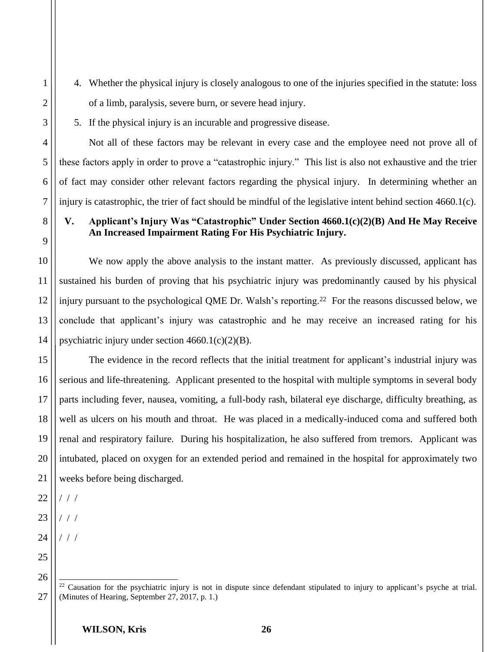4. Whether the physical injury is closely analogous to one of the injuries specified in the statute: loss of a limb, paralysis, severe burn, or severe head injury.

1

5. If the physical injury is an incurable and progressive disease.

Not all of these factors may be relevant in every case and the employee need not prove all of these factors apply in order to prove a "catastrophic injury." This list is also not exhaustive and the trier of fact may consider other relevant factors regarding the physical injury. In determining whether an injury is catastrophic, the trier of fact should be mindful of the legislative intent behind section 4660.1(c).

### **V. Applicant's Injury Was "Catastrophic" Under Section 4660.1(c)(2)(B) And He May Receive An Increased Impairment Rating For His Psychiatric Injury.**

We now apply the above analysis to the instant matter. As previously discussed, applicant has sustained his burden of proving that his psychiatric injury was predominantly caused by his physical injury pursuant to the psychological QME Dr. Walsh's reporting.22 For the reasons discussed below, we conclude that applicant's injury was catastrophic and he may receive an increased rating for his psychiatric injury under section  $4660.1(c)(2)(B)$ .

The evidence in the record reflects that the initial treatment for applicant's industrial injury was serious and life-threatening. Applicant presented to the hospital with multiple symptoms in several body parts including fever, nausea, vomiting, a full-body rash, bilateral eye discharge, difficulty breathing, as well as ulcers on his mouth and throat. He was placed in a medically-induced coma and suffered both renal and respiratory failure. During his hospitalization, he also suffered from tremors. Applicant was intubated, placed on oxygen for an extended period and remained in the hospital for approximately two weeks before being discharged.

/ / /

- / / /
- / / /

 $\overline{a}$  $22$  Causation for the psychiatric injury is not in dispute since defendant stipulated to injury to applicant's psyche at trial. (Minutes of Hearing, September 27, 2017, p. 1.)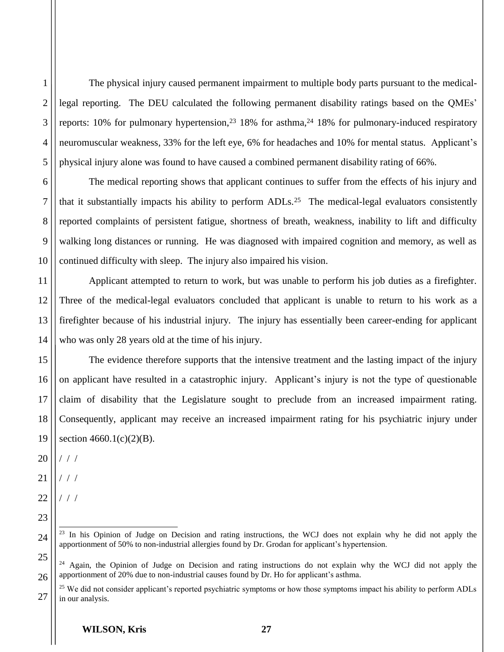2 3 4 The physical injury caused permanent impairment to multiple body parts pursuant to the medicallegal reporting. The DEU calculated the following permanent disability ratings based on the QMEs' reports:  $10\%$  for pulmonary hypertension,<sup>23</sup> 18% for asthma,<sup>24</sup> 18% for pulmonary-induced respiratory neuromuscular weakness, 33% for the left eye, 6% for headaches and 10% for mental status. Applicant's physical injury alone was found to have caused a combined permanent disability rating of 66%.

The medical reporting shows that applicant continues to suffer from the effects of his injury and that it substantially impacts his ability to perform ADLs.25 The medical-legal evaluators consistently reported complaints of persistent fatigue, shortness of breath, weakness, inability to lift and difficulty walking long distances or running. He was diagnosed with impaired cognition and memory, as well as continued difficulty with sleep. The injury also impaired his vision.

Applicant attempted to return to work, but was unable to perform his job duties as a firefighter. Three of the medical-legal evaluators concluded that applicant is unable to return to his work as a firefighter because of his industrial injury. The injury has essentially been career-ending for applicant who was only 28 years old at the time of his injury.

15 16 17 18 The evidence therefore supports that the intensive treatment and the lasting impact of the injury on applicant have resulted in a catastrophic injury. Applicant's injury is not the type of questionable claim of disability that the Legislature sought to preclude from an increased impairment rating. Consequently, applicant may receive an increased impairment rating for his psychiatric injury under section  $4660.1(c)(2)(B)$ .

20 / / /

19

23

24

27

1

5

6

7

8

9

10

11

12

13

14

21 / / /

22 / / /

 $\overline{1}$ <sup>23</sup> In his Opinion of Judge on Decision and rating instructions, the WCJ does not explain why he did not apply the apportionment of 50% to non-industrial allergies found by Dr. Grodan for applicant's hypertension.

<sup>25</sup> 26  $24$  Again, the Opinion of Judge on Decision and rating instructions do not explain why the WCJ did not apply the apportionment of 20% due to non-industrial causes found by Dr. Ho for applicant's asthma.

<sup>&</sup>lt;sup>25</sup> We did not consider applicant's reported psychiatric symptoms or how those symptoms impact his ability to perform ADLs in our analysis.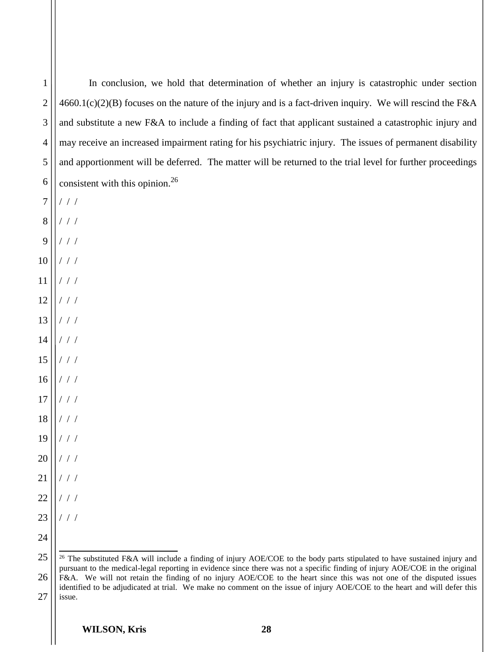| $\mathbf{1}$ | In conclusion, we hold that determination of whether an injury is catastrophic under section                                                                                                                                                                         |
|--------------|----------------------------------------------------------------------------------------------------------------------------------------------------------------------------------------------------------------------------------------------------------------------|
| $\mathbf{2}$ | $4660.1(c)(2)(B)$ focuses on the nature of the injury and is a fact-driven inquiry. We will rescind the F&A                                                                                                                                                          |
| 3            | and substitute a new F&A to include a finding of fact that applicant sustained a catastrophic injury and                                                                                                                                                             |
| 4            | may receive an increased impairment rating for his psychiatric injury. The issues of permanent disability                                                                                                                                                            |
| 5            | and apportionment will be deferred. The matter will be returned to the trial level for further proceedings                                                                                                                                                           |
| 6            | consistent with this opinion. <sup>26</sup>                                                                                                                                                                                                                          |
| 7            | $/$ / $/$                                                                                                                                                                                                                                                            |
| $\, 8$       | $/$ / $/$                                                                                                                                                                                                                                                            |
| 9            | $/$ / /                                                                                                                                                                                                                                                              |
| 10           | $\left/ \left. \right/ \left. \right/ \left. \right/ \left. \right. \right.$                                                                                                                                                                                         |
| 11           | $/$ / /                                                                                                                                                                                                                                                              |
| 12           | 1/1                                                                                                                                                                                                                                                                  |
| 13           | //                                                                                                                                                                                                                                                                   |
| 14           | $\frac{1}{2}$ / $\frac{1}{2}$                                                                                                                                                                                                                                        |
| 15           | //                                                                                                                                                                                                                                                                   |
| $16\,$       | //                                                                                                                                                                                                                                                                   |
| $17\,$       | $\frac{1}{2}$                                                                                                                                                                                                                                                        |
| 18           | $\begin{array}{c c c c} \hline \end{array} \begin{array}{c c c c} \hline \end{array} \begin{array}{c} \hline \end{array}$                                                                                                                                            |
| $19$         | 1/1                                                                                                                                                                                                                                                                  |
| 20           | 111                                                                                                                                                                                                                                                                  |
| 21           | $\left/ \left. \right/ \left. \right/ \left. \right/ \left. \right. \right.$                                                                                                                                                                                         |
| 22           | $\left/ \left. \right/ \left. \right/ \left. \right/ \left. \right. \right.$                                                                                                                                                                                         |
| 23           | / / / $\sqrt{2}$                                                                                                                                                                                                                                                     |
| 24           |                                                                                                                                                                                                                                                                      |
| 25           | <sup>26</sup> The substituted F&A will include a finding of injury AOE/COE to the body parts stipulated to have sustained injury and<br>pursuant to the medical-legal reporting in evidence since there was not a specific finding of injury AOE/COE in the original |
| 26           | F&A. We will not retain the finding of no injury AOE/COE to the heart since this was not one of the disputed issues<br>identified to be adjudicated at trial. We make no comment on the issue of injury AOE/COE to the heart and will defer this                     |

27 issue.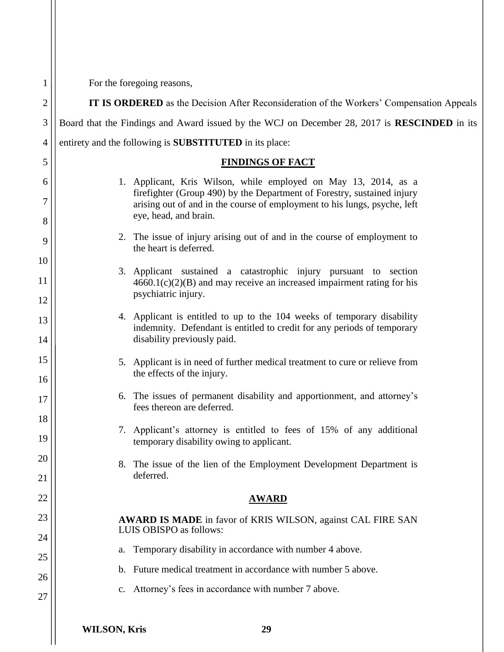| 1                   | For the foregoing reasons,                                                                                                                                                                                              |
|---------------------|-------------------------------------------------------------------------------------------------------------------------------------------------------------------------------------------------------------------------|
| $\overline{c}$      | IT IS ORDERED as the Decision After Reconsideration of the Workers' Compensation Appeals                                                                                                                                |
| 3                   | Board that the Findings and Award issued by the WCJ on December 28, 2017 is RESCINDED in its                                                                                                                            |
| 4                   | entirety and the following is <b>SUBSTITUTED</b> in its place:                                                                                                                                                          |
| 5                   | <b>FINDINGS OF FACT</b>                                                                                                                                                                                                 |
| 6<br>$\overline{7}$ | 1. Applicant, Kris Wilson, while employed on May 13, 2014, as a<br>firefighter (Group 490) by the Department of Forestry, sustained injury<br>arising out of and in the course of employment to his lungs, psyche, left |
| 8                   | eye, head, and brain.                                                                                                                                                                                                   |
| 9                   | 2. The issue of injury arising out of and in the course of employment to<br>the heart is deferred.                                                                                                                      |
| 10                  | 3. Applicant sustained a catastrophic injury pursuant to section                                                                                                                                                        |
| 11<br>12            | $4660.1(c)(2)(B)$ and may receive an increased impairment rating for his<br>psychiatric injury.                                                                                                                         |
| 13<br>14            | 4. Applicant is entitled to up to the 104 weeks of temporary disability<br>indemnity. Defendant is entitled to credit for any periods of temporary<br>disability previously paid.                                       |
| 15                  | 5. Applicant is in need of further medical treatment to cure or relieve from<br>the effects of the injury.                                                                                                              |
| 16<br>17            | 6. The issues of permanent disability and apportionment, and attorney's<br>fees thereon are deferred.                                                                                                                   |
| 18<br>19            | 7. Applicant's attorney is entitled to fees of 15% of any additional<br>temporary disability owing to applicant.                                                                                                        |
| 20                  | The issue of the lien of the Employment Development Department is<br>8.                                                                                                                                                 |
| 21                  | deferred.                                                                                                                                                                                                               |
| 22                  | <b>AWARD</b>                                                                                                                                                                                                            |
| 23                  | AWARD IS MADE in favor of KRIS WILSON, against CAL FIRE SAN<br>LUIS OBISPO as follows:                                                                                                                                  |
| 24                  | Temporary disability in accordance with number 4 above.<br>a.                                                                                                                                                           |
| 25                  | b. Future medical treatment in accordance with number 5 above.                                                                                                                                                          |
| 26                  | Attorney's fees in accordance with number 7 above.<br>$c_{\cdot}$                                                                                                                                                       |
| 27                  |                                                                                                                                                                                                                         |
|                     | <b>WILSON, Kris</b><br>29                                                                                                                                                                                               |